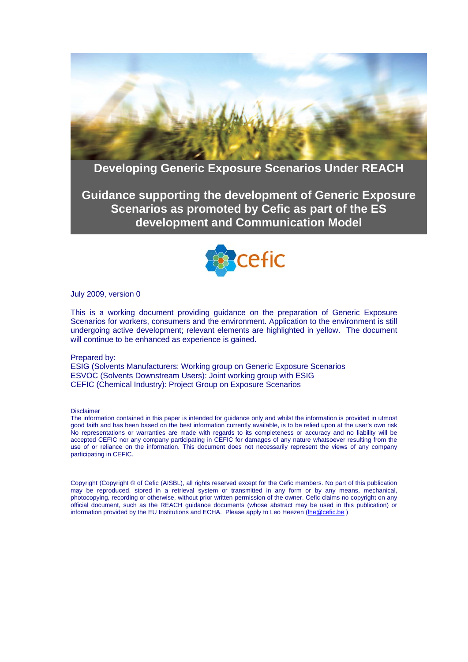

# **Developing Generic Exposure Scenarios Under REACH**

**Guidance supporting the development of Generic Exposure Scenarios as promoted by Cefic as part of the ES development and Communication Model** 



July 2009, version 0

This is a working document providing guidance on the preparation of Generic Exposure Scenarios for workers, consumers and the environment. Application to the environment is still undergoing active development; relevant elements are highlighted in yellow. The document will continue to be enhanced as experience is gained.

#### Prepared by:

ESIG (Solvents Manufacturers: Working group on Generic Exposure Scenarios ESVOC (Solvents Downstream Users): Joint working group with ESIG CEFIC (Chemical Industry): Project Group on Exposure Scenarios

Disclaimer

The information contained in this paper is intended for guidance only and whilst the information is provided in utmost good faith and has been based on the best information currently available, is to be relied upon at the user's own risk No representations or warranties are made with regards to its completeness or accuracy and no liability will be accepted CEFIC nor any company participating in CEFIC for damages of any nature whatsoever resulting from the use of or reliance on the information. This document does not necessarily represent the views of any company participating in CEFIC.

Copyright (Copyright © of Cefic (AISBL), all rights reserved except for the Cefic members. No part of this publication may be reproduced, stored in a retrieval system or transmitted in any form or by any means, mechanical, photocopying, recording or otherwise, without prior written permission of the owner. Cefic claims no copyright on any official document, such as the REACH guidance documents (whose abstract may be used in this publication) or information provided by the EU Institutions and ECHA. Please apply to Leo Heezen ([lhe@cefic.be](mailto:lhe@cefic.be) )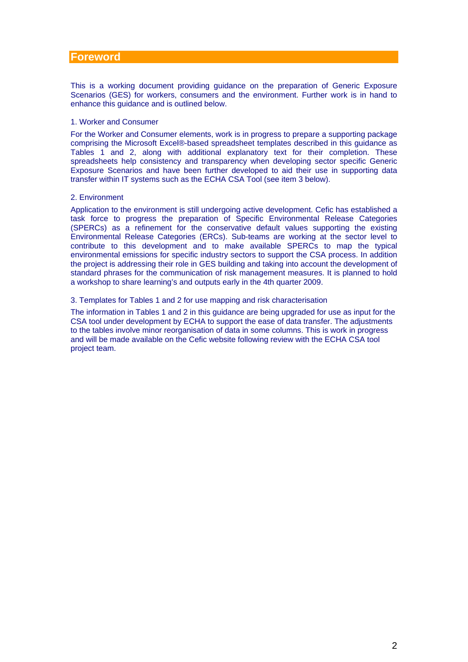## <span id="page-1-0"></span>**Foreword**

This is a working document providing guidance on the preparation of Generic Exposure Scenarios (GES) for workers, consumers and the environment. Further work is in hand to enhance this guidance and is outlined below.

#### 1. Worker and Consumer

For the Worker and Consumer elements, work is in progress to prepare a supporting package comprising the Microsoft Excel®-based spreadsheet templates described in this guidance as Tables 1 and 2, along with additional explanatory text for their completion. These spreadsheets help consistency and transparency when developing sector specific Generic Exposure Scenarios and have been further developed to aid their use in supporting data transfer within IT systems such as the ECHA CSA Tool (see item 3 below).

#### 2. Environment

Application to the environment is still undergoing active development. Cefic has established a task force to progress the preparation of Specific Environmental Release Categories (SPERCs) as a refinement for the conservative default values supporting the existing Environmental Release Categories (ERCs). Sub-teams are working at the sector level to contribute to this development and to make available SPERCs to map the typical environmental emissions for specific industry sectors to support the CSA process. In addition the project is addressing their role in GES building and taking into account the development of standard phrases for the communication of risk management measures. It is planned to hold a workshop to share learning's and outputs early in the 4th quarter 2009.

#### 3. Templates for Tables 1 and 2 for use mapping and risk characterisation

The information in Tables 1 and 2 in this guidance are being upgraded for use as input for the CSA tool under development by ECHA to support the ease of data transfer. The adjustments to the tables involve minor reorganisation of data in some columns. This is work in progress and will be made available on the Cefic website following review with the ECHA CSA tool project team.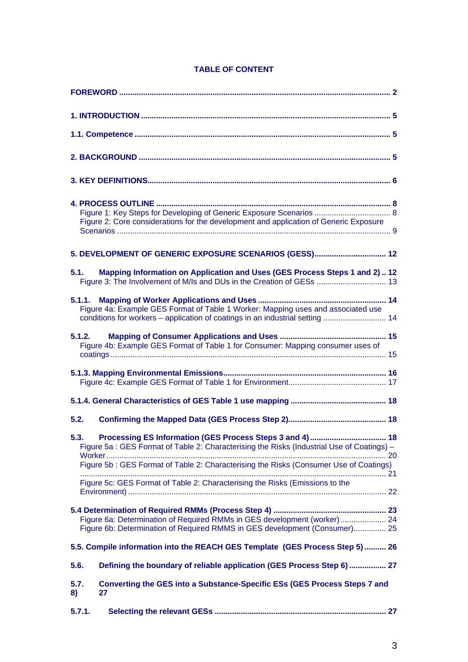| 4. PROCESS OUTLINE<br>Figure 1: Key Steps for Developing of Generic Exposure Scenarios  8<br>Figure 2: Core considerations for the development and application of Generic Exposure |
|------------------------------------------------------------------------------------------------------------------------------------------------------------------------------------|
| 5. DEVELOPMENT OF GENERIC EXPOSURE SCENARIOS (GESS) 12                                                                                                                             |
| Mapping Information on Application and Uses (GES Process Steps 1 and 2) 12<br>5.1.<br>Figure 3: The Involvement of M/Is and DUs in the Creation of GESs  13                        |
| 5.1.1.                                                                                                                                                                             |
| Figure 4a: Example GES Format of Table 1 Worker: Mapping uses and associated use<br>conditions for workers – application of coatings in an industrial setting  14                  |
| 5.1.2.<br>Figure 4b: Example GES Format of Table 1 for Consumer: Mapping consumer uses of                                                                                          |
|                                                                                                                                                                                    |
|                                                                                                                                                                                    |
|                                                                                                                                                                                    |
| 5.2.                                                                                                                                                                               |
| 5.3.<br>Figure 5a: GES Format of Table 2: Characterising the Risks (Industrial Use of Coatings) -                                                                                  |
| Figure 5b: GES Format of Table 2: Characterising the Risks (Consumer Use of Coatings)                                                                                              |
| Figure 5c: GES Format of Table 2: Characterising the Risks (Emissions to the                                                                                                       |
| Figure 6a: Determination of Required RMMs in GES development (worker)  24<br>Figure 6b: Determination of Required RMMS in GES development (Consumer) 25                            |
| 5.5. Compile information into the REACH GES Template (GES Process Step 5) 26                                                                                                       |
| Defining the boundary of reliable application (GES Process Step 6)  27<br>5.6.                                                                                                     |
| <b>Converting the GES into a Substance-Specific ESs (GES Process Steps 7 and</b><br>5.7.<br>27<br>8)                                                                               |
| 5.7.1.                                                                                                                                                                             |

# **TABLE OF CONTENT**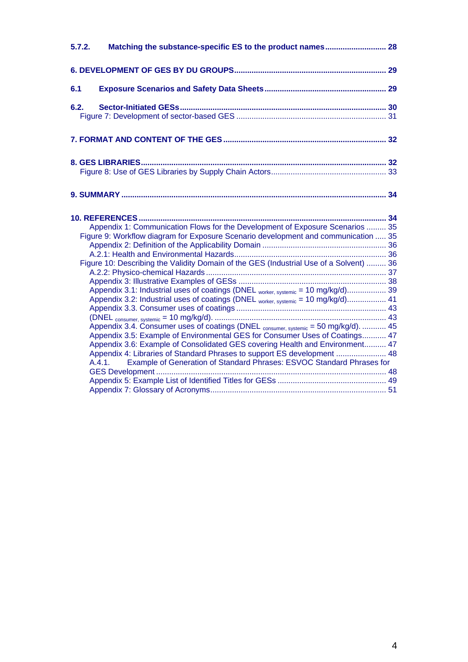| 5.7.2. |                                                                                                                                                                        |  |
|--------|------------------------------------------------------------------------------------------------------------------------------------------------------------------------|--|
|        |                                                                                                                                                                        |  |
| 6.1    |                                                                                                                                                                        |  |
| 6.2.   |                                                                                                                                                                        |  |
|        |                                                                                                                                                                        |  |
|        |                                                                                                                                                                        |  |
|        |                                                                                                                                                                        |  |
|        | Appendix 1: Communication Flows for the Development of Exposure Scenarios  35                                                                                          |  |
|        | Figure 9: Workflow diagram for Exposure Scenario development and communication  35                                                                                     |  |
|        | Figure 10: Describing the Validity Domain of the GES (Industrial Use of a Solvent)  36                                                                                 |  |
|        | Appendix 3.1: Industrial uses of coatings (DNEL worker, systemic = 10 mg/kg/d) 39<br>Appendix 3.2: Industrial uses of coatings (DNEL worker, systemic = 10 mg/kg/d) 41 |  |
|        | Appendix 3.4. Consumer uses of coatings (DNEL consumer, systemic = 50 mg/kg/d).  45                                                                                    |  |
|        | Appendix 3.5: Example of Environmental GES for Consumer Uses of Coatings 47<br>Appendix 3.6: Example of Consolidated GES covering Health and Environment 47            |  |
|        | Appendix 4: Libraries of Standard Phrases to support ES development  48<br>Example of Generation of Standard Phrases: ESVOC Standard Phrases for<br>A.4.1              |  |
|        |                                                                                                                                                                        |  |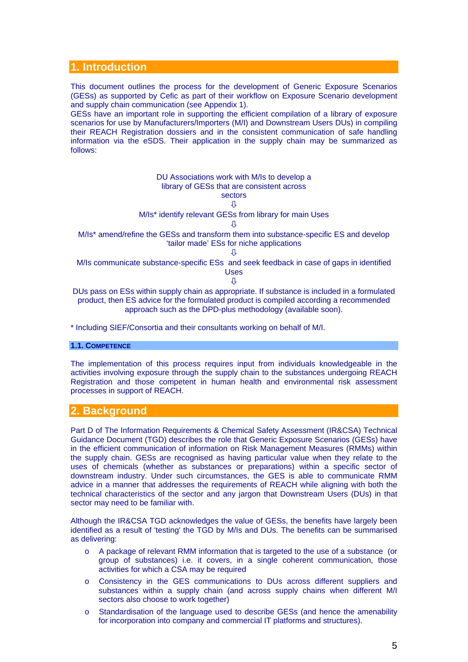# <span id="page-4-0"></span>**1. Introduction**

This document outlines the process for the development of Generic Exposure Scenarios (GESs) as supported by Cefic as part of their workflow on Exposure Scenario development and supply chain communication (see Appendix 1).

GESs have an important role in supporting the efficient compilation of a library of exposure scenarios for use by Manufacturers/Importers (M/I) and Downstream Users DUs) in compiling their REACH Registration dossiers and in the consistent communication of safe handling information via the eSDS. Their application in the supply chain may be summarized as follows:



\* Including SIEF/Consortia and their consultants working on behalf of M/I.

#### **1.1. COMPETENCE**

The implementation of this process requires input from individuals knowledgeable in the activities involving exposure through the supply chain to the substances undergoing REACH Registration and those competent in human health and environmental risk assessment processes in support of REACH.

# **2. Background**

Part D of The Information Requirements & Chemical Safety Assessment (IR&CSA) Technical Guidance Document (TGD) describes the role that Generic Exposure Scenarios (GESs) have in the efficient communication of information on Risk Management Measures (RMMs) within the supply chain. GESs are recognised as having particular value when they relate to the uses of chemicals (whether as substances or preparations) within a specific sector of downstream industry. Under such circumstances, the GES is able to communicate RMM advice in a manner that addresses the requirements of REACH while aligning with both the technical characteristics of the sector and any jargon that Downstream Users (DUs) in that sector may need to be familiar with.

Although the IR&CSA TGD acknowledges the value of GESs, the benefits have largely been identified as a result of 'testing' the TGD by M/Is and DUs. The benefits can be summarised as delivering:

- o A package of relevant RMM information that is targeted to the use of a substance (or group of substances) i.e. it covers, in a single coherent communication, those activities for which a CSA may be required
- o Consistency in the GES communications to DUs across different suppliers and substances within a supply chain (and across supply chains when different M/I sectors also choose to work together)
- o Standardisation of the language used to describe GESs (and hence the amenability for incorporation into company and commercial IT platforms and structures).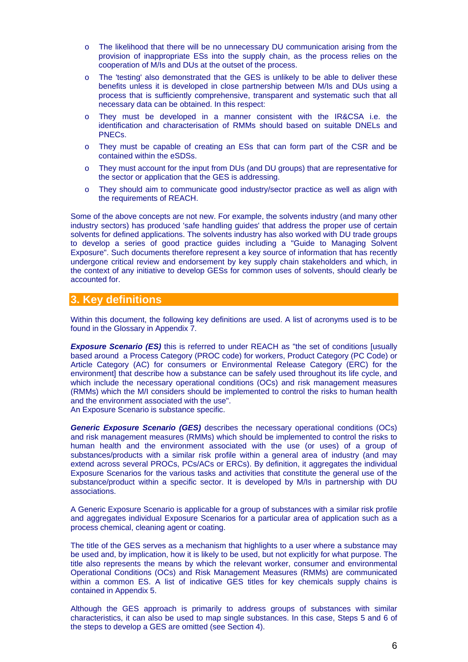- <span id="page-5-0"></span>o The likelihood that there will be no unnecessary DU communication arising from the provision of inappropriate ESs into the supply chain, as the process relies on the cooperation of M/Is and DUs at the outset of the process.
- o The 'testing' also demonstrated that the GES is unlikely to be able to deliver these benefits unless it is developed in close partnership between M/Is and DUs using a process that is sufficiently comprehensive, transparent and systematic such that all necessary data can be obtained. In this respect:
- o They must be developed in a manner consistent with the IR&CSA i.e. the identification and characterisation of RMMs should based on suitable DNELs and PNECs.
- o They must be capable of creating an ESs that can form part of the CSR and be contained within the eSDSs.
- o They must account for the input from DUs (and DU groups) that are representative for the sector or application that the GES is addressing.
- o They should aim to communicate good industry/sector practice as well as align with the requirements of REACH.

Some of the above concepts are not new. For example, the solvents industry (and many other industry sectors) has produced 'safe handling guides' that address the proper use of certain solvents for defined applications. The solvents industry has also worked with DU trade groups to develop a series of good practice guides including a "Guide to Managing Solvent Exposure". Such documents therefore represent a key source of information that has recently undergone critical review and endorsement by key supply chain stakeholders and which, in the context of any initiative to develop GESs for common uses of solvents, should clearly be accounted for.

# **3. Key definitions**

Within this document, the following key definitions are used. A list of acronyms used is to be found in the Glossary in Appendix 7.

**Exposure Scenario (ES)** this is referred to under REACH as "the set of conditions [usually based around a Process Category (PROC code) for workers, Product Category (PC Code) or Article Category (AC) for consumers or Environmental Release Category (ERC) for the environment] that describe how a substance can be safely used throughout its life cycle, and which include the necessary operational conditions (OCs) and risk management measures (RMMs) which the M/I considers should be implemented to control the risks to human health and the environment associated with the use". An Exposure Scenario is substance specific.

*Generic Exposure Scenario (GES)* describes the necessary operational conditions (OCs) and risk management measures (RMMs) which should be implemented to control the risks to human health and the environment associated with the use (or uses) of a group of substances/products with a similar risk profile within a general area of industry (and may extend across several PROCs, PCs/ACs or ERCs). By definition, it aggregates the individual Exposure Scenarios for the various tasks and activities that constitute the general use of the substance/product within a specific sector. It is developed by M/Is in partnership with DU associations.

A Generic Exposure Scenario is applicable for a group of substances with a similar risk profile and aggregates individual Exposure Scenarios for a particular area of application such as a process chemical, cleaning agent or coating.

The title of the GES serves as a mechanism that highlights to a user where a substance may be used and, by implication, how it is likely to be used, but not explicitly for what purpose. The title also represents the means by which the relevant worker, consumer and environmental Operational Conditions (OCs) and Risk Management Measures (RMMs) are communicated within a common ES. A list of indicative GES titles for key chemicals supply chains is contained in Appendix 5.

Although the GES approach is primarily to address groups of substances with similar characteristics, it can also be used to map single substances. In this case, Steps 5 and 6 of the steps to develop a GES are omitted (see Section 4).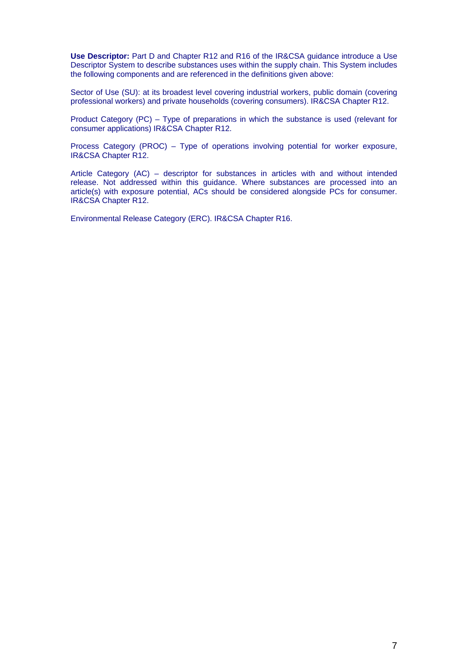**Use Descriptor:** Part D and Chapter R12 and R16 of the IR&CSA guidance introduce a Use Descriptor System to describe substances uses within the supply chain. This System includes the following components and are referenced in the definitions given above:

Sector of Use (SU): at its broadest level covering industrial workers, public domain (covering professional workers) and private households (covering consumers). IR&CSA Chapter R12.

Product Category (PC) – Type of preparations in which the substance is used (relevant for consumer applications) IR&CSA Chapter R12.

Process Category (PROC) – Type of operations involving potential for worker exposure, IR&CSA Chapter R12.

Article Category (AC) – descriptor for substances in articles with and without intended release. Not addressed within this guidance. Where substances are processed into an article(s) with exposure potential, ACs should be considered alongside PCs for consumer. IR&CSA Chapter R12.

Environmental Release Category (ERC). IR&CSA Chapter R16.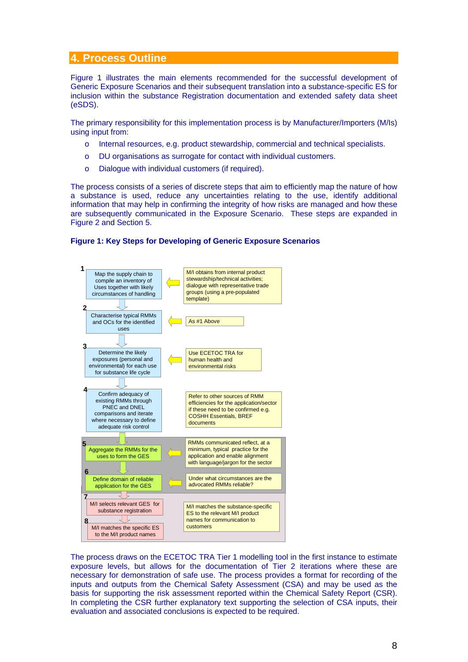# <span id="page-7-0"></span>**4. Process Outline**

Figure 1 illustrates the main elements recommended for the successful development of Generic Exposure Scenarios and their subsequent translation into a substance-specific ES for inclusion within the substance Registration documentation and extended safety data sheet (eSDS).

The primary responsibility for this implementation process is by Manufacturer/Importers (M/Is) using input from:

- o Internal resources, e.g. product stewardship, commercial and technical specialists.
- o DU organisations as surrogate for contact with individual customers.
- o Dialogue with individual customers (if required).

The process consists of a series of discrete steps that aim to efficiently map the nature of how a substance is used, reduce any uncertainties relating to the use, identify additional information that may help in confirming the integrity of how risks are managed and how these are subsequently communicated in the Exposure Scenario. These steps are expanded in Figure 2 and Section 5.

### **Figure 1: Key Steps for Developing of Generic Exposure Scenarios**



The process draws on the ECETOC TRA Tier 1 modelling tool in the first instance to estimate exposure levels, but allows for the documentation of Tier 2 iterations where these are necessary for demonstration of safe use. The process provides a format for recording of the inputs and outputs from the Chemical Safety Assessment (CSA) and may be used as the basis for supporting the risk assessment reported within the Chemical Safety Report (CSR). In completing the CSR further explanatory text supporting the selection of CSA inputs, their evaluation and associated conclusions is expected to be required.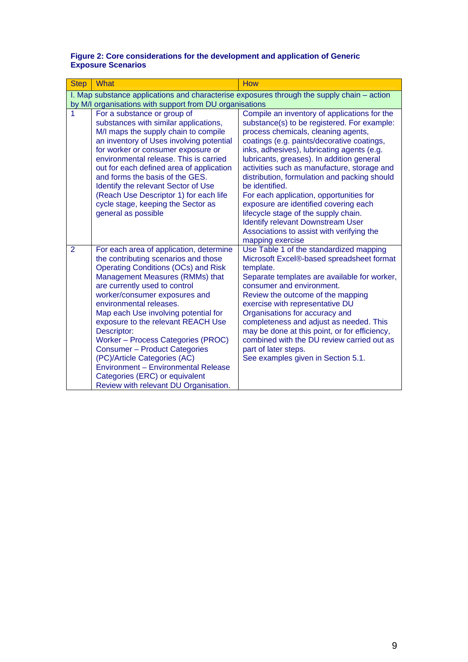#### <span id="page-8-0"></span>**Figure 2: Core considerations for the development and application of Generic Exposure Scenarios**

| <b>Step</b>    | <b>What</b>                                                                                                                                                                                                                                                                                                                                                                                                                                                                                                                                                                                | <b>How</b>                                                                                                                                                                                                                                                                                                                                                                                                                                                                                                                                                                                                                            |
|----------------|--------------------------------------------------------------------------------------------------------------------------------------------------------------------------------------------------------------------------------------------------------------------------------------------------------------------------------------------------------------------------------------------------------------------------------------------------------------------------------------------------------------------------------------------------------------------------------------------|---------------------------------------------------------------------------------------------------------------------------------------------------------------------------------------------------------------------------------------------------------------------------------------------------------------------------------------------------------------------------------------------------------------------------------------------------------------------------------------------------------------------------------------------------------------------------------------------------------------------------------------|
|                |                                                                                                                                                                                                                                                                                                                                                                                                                                                                                                                                                                                            | I. Map substance applications and characterise exposures through the supply chain – action                                                                                                                                                                                                                                                                                                                                                                                                                                                                                                                                            |
|                | by M/I organisations with support from DU organisations                                                                                                                                                                                                                                                                                                                                                                                                                                                                                                                                    |                                                                                                                                                                                                                                                                                                                                                                                                                                                                                                                                                                                                                                       |
| 1              | For a substance or group of<br>substances with similar applications,<br>M/I maps the supply chain to compile<br>an inventory of Uses involving potential<br>for worker or consumer exposure or<br>environmental release. This is carried<br>out for each defined area of application<br>and forms the basis of the GES.<br>Identify the relevant Sector of Use<br>(Reach Use Descriptor 1) for each life<br>cycle stage, keeping the Sector as<br>general as possible                                                                                                                      | Compile an inventory of applications for the<br>substance(s) to be registered. For example:<br>process chemicals, cleaning agents,<br>coatings (e.g. paints/decorative coatings,<br>inks, adhesives), lubricating agents (e.g.<br>lubricants, greases). In addition general<br>activities such as manufacture, storage and<br>distribution, formulation and packing should<br>be identified.<br>For each application, opportunities for<br>exposure are identified covering each<br>lifecycle stage of the supply chain.<br><b>Identify relevant Downstream User</b><br>Associations to assist with verifying the<br>mapping exercise |
| $\overline{2}$ | For each area of application, determine<br>the contributing scenarios and those<br><b>Operating Conditions (OCs) and Risk</b><br>Management Measures (RMMs) that<br>are currently used to control<br>worker/consumer exposures and<br>environmental releases.<br>Map each Use involving potential for<br>exposure to the relevant REACH Use<br>Descriptor:<br>Worker - Process Categories (PROC)<br><b>Consumer - Product Categories</b><br>(PC)/Article Categories (AC)<br>Environment - Environmental Release<br>Categories (ERC) or equivalent<br>Review with relevant DU Organisation. | Use Table 1 of the standardized mapping<br>Microsoft Excel®-based spreadsheet format<br>template.<br>Separate templates are available for worker,<br>consumer and environment.<br>Review the outcome of the mapping<br>exercise with representative DU<br>Organisations for accuracy and<br>completeness and adjust as needed. This<br>may be done at this point, or for efficiency,<br>combined with the DU review carried out as<br>part of later steps.<br>See examples given in Section 5.1.                                                                                                                                      |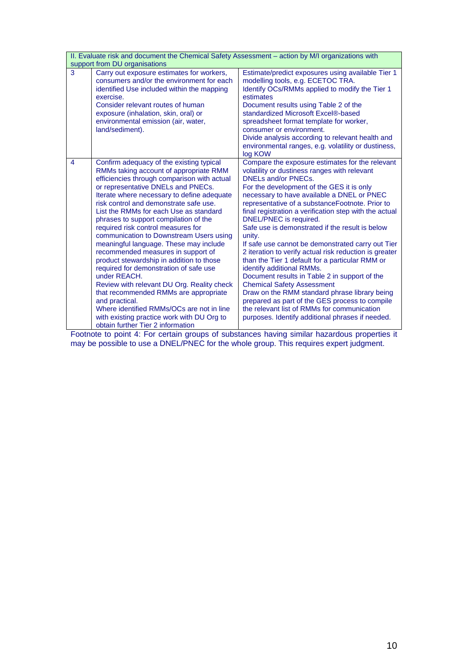|   | II. Evaluate risk and document the Chemical Safety Assessment - action by M/I organizations with                                                                                                                                                                                                                                                                                                                                                                                                                                                                                                                                                                                                                                                                                                                                                                   |                                                                                                                                                                                                                                                                                                                                                                                                                                                                                                                                                                                                                                                                                                                                                                                                                                                                                                                         |  |  |  |  |  |  |  |
|---|--------------------------------------------------------------------------------------------------------------------------------------------------------------------------------------------------------------------------------------------------------------------------------------------------------------------------------------------------------------------------------------------------------------------------------------------------------------------------------------------------------------------------------------------------------------------------------------------------------------------------------------------------------------------------------------------------------------------------------------------------------------------------------------------------------------------------------------------------------------------|-------------------------------------------------------------------------------------------------------------------------------------------------------------------------------------------------------------------------------------------------------------------------------------------------------------------------------------------------------------------------------------------------------------------------------------------------------------------------------------------------------------------------------------------------------------------------------------------------------------------------------------------------------------------------------------------------------------------------------------------------------------------------------------------------------------------------------------------------------------------------------------------------------------------------|--|--|--|--|--|--|--|
|   | support from DU organisations                                                                                                                                                                                                                                                                                                                                                                                                                                                                                                                                                                                                                                                                                                                                                                                                                                      |                                                                                                                                                                                                                                                                                                                                                                                                                                                                                                                                                                                                                                                                                                                                                                                                                                                                                                                         |  |  |  |  |  |  |  |
| 3 | Carry out exposure estimates for workers,<br>consumers and/or the environment for each<br>identified Use included within the mapping<br>exercise.<br>Consider relevant routes of human<br>exposure (inhalation, skin, oral) or<br>environmental emission (air, water,<br>land/sediment).                                                                                                                                                                                                                                                                                                                                                                                                                                                                                                                                                                           | Estimate/predict exposures using available Tier 1<br>modelling tools, e.g. ECETOC TRA.<br>Identify OCs/RMMs applied to modify the Tier 1<br>estimates<br>Document results using Table 2 of the<br>standardized Microsoft Excel®-based<br>spreadsheet format template for worker,<br>consumer or environment.<br>Divide analysis according to relevant health and<br>environmental ranges, e.g. volatility or dustiness,<br>log KOW                                                                                                                                                                                                                                                                                                                                                                                                                                                                                      |  |  |  |  |  |  |  |
| 4 | Confirm adequacy of the existing typical<br>RMMs taking account of appropriate RMM<br>efficiencies through comparison with actual<br>or representative DNELs and PNECs.<br>Iterate where necessary to define adequate<br>risk control and demonstrate safe use.<br>List the RMMs for each Use as standard<br>phrases to support compilation of the<br>required risk control measures for<br>communication to Downstream Users using<br>meaningful language. These may include<br>recommended measures in support of<br>product stewardship in addition to those<br>required for demonstration of safe use<br>under REACH.<br>Review with relevant DU Org. Reality check<br>that recommended RMMs are appropriate<br>and practical.<br>Where identified RMMs/OCs are not in line<br>with existing practice work with DU Org to<br>obtain further Tier 2 information | Compare the exposure estimates for the relevant<br>volatility or dustiness ranges with relevant<br><b>DNELs and/or PNECs.</b><br>For the development of the GES it is only<br>necessary to have available a DNEL or PNEC<br>representative of a substanceFootnote. Prior to<br>final registration a verification step with the actual<br>DNEL/PNEC is required.<br>Safe use is demonstrated if the result is below<br>unity.<br>If safe use cannot be demonstrated carry out Tier<br>2 iteration to verify actual risk reduction is greater<br>than the Tier 1 default for a particular RMM or<br>identify additional RMMs.<br>Document results in Table 2 in support of the<br><b>Chemical Safety Assessment</b><br>Draw on the RMM standard phrase library being<br>prepared as part of the GES process to compile<br>the relevant list of RMMs for communication<br>purposes. Identify additional phrases if needed. |  |  |  |  |  |  |  |

Footnote to point 4: For certain groups of substances having similar hazardous properties it may be possible to use a DNEL/PNEC for the whole group. This requires expert judgment.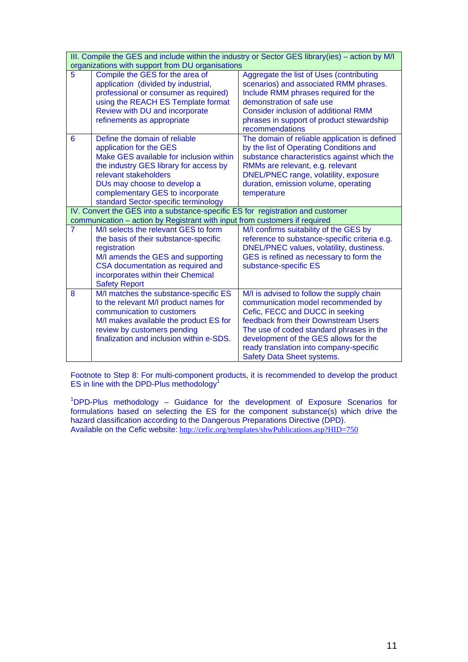|                | III. Compile the GES and include within the industry or Sector GES library(ies) - action by M/I<br>organizations with support from DU organisations                                                                                                                               |                                                                                                                                                                                                                                                                             |  |  |  |  |  |  |
|----------------|-----------------------------------------------------------------------------------------------------------------------------------------------------------------------------------------------------------------------------------------------------------------------------------|-----------------------------------------------------------------------------------------------------------------------------------------------------------------------------------------------------------------------------------------------------------------------------|--|--|--|--|--|--|
| 5              | Compile the GES for the area of<br>application (divided by industrial,<br>professional or consumer as required)<br>using the REACH ES Template format<br>Review with DU and incorporate<br>refinements as appropriate                                                             | Aggregate the list of Uses (contributing<br>scenarios) and associated RMM phrases.<br>Include RMM phrases required for the<br>demonstration of safe use<br><b>Consider inclusion of additional RMM</b><br>phrases in support of product stewardship<br>recommendations      |  |  |  |  |  |  |
| 6              | Define the domain of reliable<br>application for the GES<br>Make GES available for inclusion within<br>the industry GES library for access by<br>relevant stakeholders<br>DUs may choose to develop a<br>complementary GES to incorporate<br>standard Sector-specific terminology | The domain of reliable application is defined<br>by the list of Operating Conditions and<br>substance characteristics against which the<br>RMMs are relevant, e.g. relevant<br>DNEL/PNEC range, volatility, exposure<br>duration, emission volume, operating<br>temperature |  |  |  |  |  |  |
|                | IV. Convert the GES into a substance-specific ES for registration and customer<br>communication - action by Registrant with input from customers if required                                                                                                                      |                                                                                                                                                                                                                                                                             |  |  |  |  |  |  |
| $\overline{7}$ | M/I selects the relevant GES to form                                                                                                                                                                                                                                              | M/I confirms suitability of the GES by                                                                                                                                                                                                                                      |  |  |  |  |  |  |
|                | the basis of their substance-specific<br>registration<br>M/I amends the GES and supporting<br>CSA documentation as required and<br>incorporates within their Chemical<br><b>Safety Report</b>                                                                                     | reference to substance-specific criteria e.g.<br>DNEL/PNEC values, volatility, dustiness.<br>GES is refined as necessary to form the<br>substance-specific ES                                                                                                               |  |  |  |  |  |  |

Footnote to Step 8: For multi-component products, it is recommended to develop the product ES in line with the DPD-Plus methodology $1$ 

<sup>1</sup>DPD-Plus methodology - Guidance for the development of Exposure Scenarios for formulations based on selecting the ES for the component substance(s) which drive the hazard classification according to the Dangerous Preparations Directive (DPD). Available on the Cefic website: <http://cefic.org/templates/shwPublications.asp?HID=750>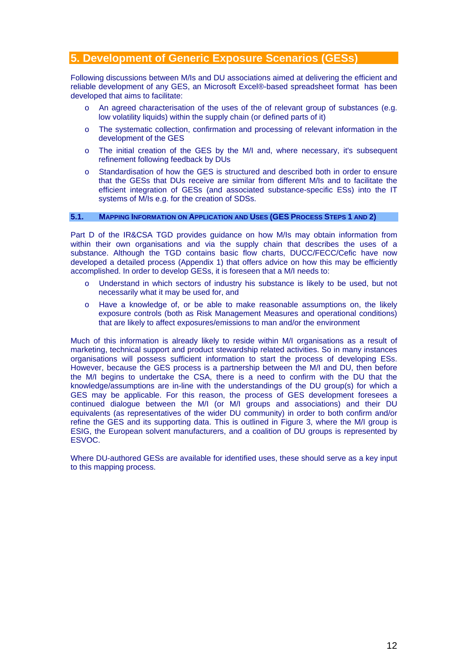# <span id="page-11-0"></span>**5. Development of Generic Exposure Scenarios (GESs)**

Following discussions between M/Is and DU associations aimed at delivering the efficient and reliable development of any GES, an Microsoft Excel®-based spreadsheet format has been developed that aims to facilitate:

- o An agreed characterisation of the uses of the of relevant group of substances (e.g. low volatility liquids) within the supply chain (or defined parts of it)
- o The systematic collection, confirmation and processing of relevant information in the development of the GES
- o The initial creation of the GES by the M/I and, where necessary, it's subsequent refinement following feedback by DUs
- o Standardisation of how the GES is structured and described both in order to ensure that the GESs that DUs receive are similar from different M/Is and to facilitate the efficient integration of GESs (and associated substance-specific ESs) into the IT systems of M/Is e.g. for the creation of SDSs.

### **5.1. MAPPING INFORMATION ON APPLICATION AND USES (GES PROCESS STEPS 1 AND 2)**

Part D of the IR&CSA TGD provides guidance on how M/Is may obtain information from within their own organisations and via the supply chain that describes the uses of a substance. Although the TGD contains basic flow charts, DUCC/FECC/Cefic have now developed a detailed process (Appendix 1) that offers advice on how this may be efficiently accomplished. In order to develop GESs, it is foreseen that a M/I needs to:

- o Understand in which sectors of industry his substance is likely to be used, but not necessarily what it may be used for, and
- o Have a knowledge of, or be able to make reasonable assumptions on, the likely exposure controls (both as Risk Management Measures and operational conditions) that are likely to affect exposures/emissions to man and/or the environment

Much of this information is already likely to reside within M/I organisations as a result of marketing, technical support and product stewardship related activities. So in many instances organisations will possess sufficient information to start the process of developing ESs. However, because the GES process is a partnership between the M/I and DU, then before the M/I begins to undertake the CSA, there is a need to confirm with the DU that the knowledge/assumptions are in-line with the understandings of the DU group(s) for which a GES may be applicable. For this reason, the process of GES development foresees a continued dialogue between the M/I (or M/I groups and associations) and their DU equivalents (as representatives of the wider DU community) in order to both confirm and/or refine the GES and its supporting data. This is outlined in Figure 3, where the M/I group is ESIG, the European solvent manufacturers, and a coalition of DU groups is represented by ESVOC.

Where DU-authored GESs are available for identified uses, these should serve as a key input to this mapping process.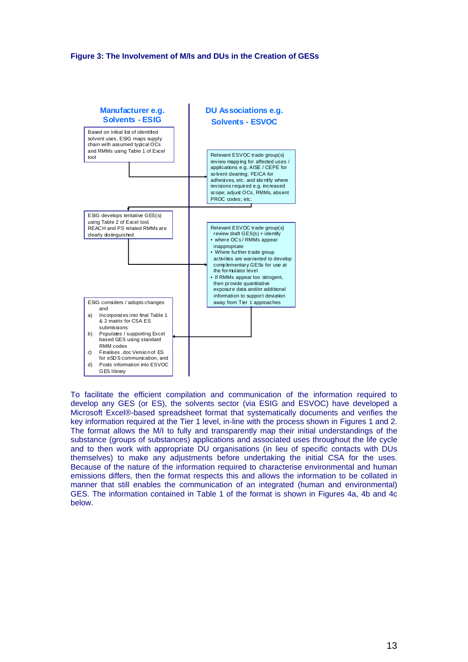### <span id="page-12-0"></span>**Figure 3: The Involvement of M/Is and DUs in the Creation of GESs**



To facilitate the efficient compilation and communication of the information required to develop any GES (or ES), the solvents sector (via ESIG and ESVOC) have developed a Microsoft Excel®-based spreadsheet format that systematically documents and verifies the key information required at the Tier 1 level, in-line with the process shown in Figures 1 and 2. The format allows the M/I to fully and transparently map their initial understandings of the substance (groups of substances) applications and associated uses throughout the life cycle and to then work with appropriate DU organisations (in lieu of specific contacts with DUs themselves) to make any adjustments before undertaking the initial CSA for the uses. Because of the nature of the information required to characterise environmental and human emissions differs, then the format respects this and allows the information to be collated in manner that still enables the communication of an integrated (human and environmental) GES. The information contained in Table 1 of the format is shown in Figures 4a, 4b and 4c below.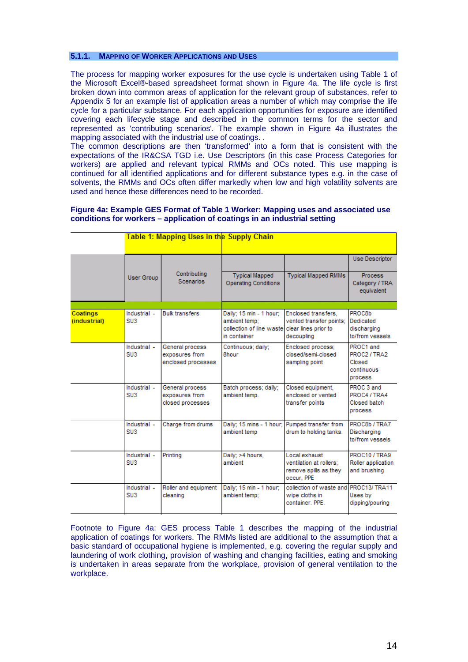## <span id="page-13-0"></span>**5.1.1. MAPPING OF WORKER APPLICATIONS AND USES**

The process for mapping worker exposures for the use cycle is undertaken using Table 1 of the Microsoft Excel®-based spreadsheet format shown in Figure 4a. The life cycle is first broken down into common areas of application for the relevant group of substances, refer to Appendix 5 for an example list of application areas a number of which may comprise the life cycle for a particular substance. For each application opportunities for exposure are identified covering each lifecycle stage and described in the common terms for the sector and represented as 'contributing scenarios'. The example shown in Figure 4a illustrates the mapping associated with the industrial use of coatings. .

The common descriptions are then 'transformed' into a form that is consistent with the expectations of the IR&CSA TGD i.e. Use Descriptors (in this case Process Categories for workers) are applied and relevant typical RMMs and OCs noted. This use mapping is continued for all identified applications and for different substance types e.g. in the case of solvents, the RMMs and OCs often differ markedly when low and high volatility solvents are used and hence these differences need to be recorded.

#### **Figure 4a: Example GES Format of Table 1 Worker: Mapping uses and associated use conditions for workers – application of coatings in an industrial setting**

|                                 |                                 | <u> Table 1: Mapping Uses in the Supply Chain</u>       |                                                                                      |                                                                                      |                                                                  |
|---------------------------------|---------------------------------|---------------------------------------------------------|--------------------------------------------------------------------------------------|--------------------------------------------------------------------------------------|------------------------------------------------------------------|
|                                 | <b>User Group</b>               | Contributing<br><b>Scenarios</b>                        | <b>Typical Mapped</b><br><b>Operating Conditions</b>                                 | <b>Typical Mapped RMMs</b>                                                           | Use Descriptor<br><b>Process</b><br>Category / TRA<br>equivalent |
|                                 |                                 |                                                         |                                                                                      |                                                                                      |                                                                  |
| <b>Coatings</b><br>(industrial) | Industrial -<br>SU3             | <b>Bulk transfers</b>                                   | Daily; 15 min - 1 hour;<br>ambient temp:<br>collection of line waste<br>in container | Enclosed transfers.<br>vented transfer points;<br>clear lines prior to<br>decoupling | PROC8b<br>Dedicated<br>discharging<br>to/from vessels            |
|                                 | Industrial -<br>SU3             | General process<br>exposures from<br>enclosed processes | Continuous; daily;<br>8hour                                                          | Enclosed process;<br>closed/semi-closed<br>sampling point                            | PROC1 and<br>PROC2 / TRA2<br>Closed<br>continuous<br>process     |
|                                 | Industrial -<br>SU <sub>3</sub> | General process<br>exposures from<br>closed processes   | Batch process; daily;<br>ambient temp.                                               | Closed equipment,<br>enclosed or vented<br>transfer points                           | PROC 3 and<br>PROC4 / TRA4<br>Closed batch<br>process            |
|                                 | Industrial -<br>SU <sub>3</sub> | Charge from drums                                       | Daily; 15 mins - 1 hour;<br>ambient temp                                             | Pumped transfer from<br>drum to holding tanks.                                       | PROC8b / TRA7<br>Discharging<br>to/from vessels                  |
|                                 | Industrial -<br>SU <sub>3</sub> | Printing                                                | Daily: >4 hours.<br>ambient                                                          | Local exhaust<br>ventilation at rollers;<br>remove spills as they<br>occur, PPE      | PROC10 / TRA9<br>Roller application<br>and brushing              |
|                                 | Industrial -<br>SU <sub>3</sub> | Roller and equipment<br>cleaning                        | Daily; 15 min - 1 hour;<br>ambient temp:                                             | collection of waste and<br>wipe cloths in<br>container, PPE.                         | PROC13/TRA11<br>Uses by<br>dipping/pouring                       |

Footnote to Figure 4a: GES process Table 1 describes the mapping of the industrial application of coatings for workers. The RMMs listed are additional to the assumption that a basic standard of occupational hygiene is implemented, e.g. covering the regular supply and laundering of work clothing, provision of washing and changing facilities, eating and smoking is undertaken in areas separate from the workplace, provision of general ventilation to the workplace.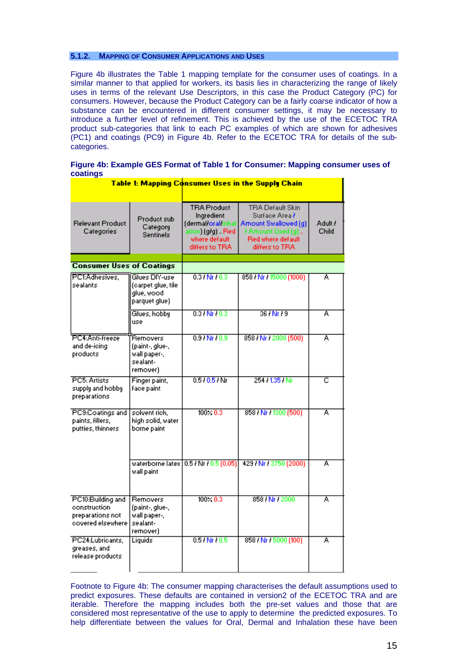### <span id="page-14-0"></span>**5.1.2. MAPPING OF CONSUMER APPLICATIONS AND USES**

Figure 4b illustrates the Table 1 mapping template for the consumer uses of coatings. In a similar manner to that applied for workers, its basis lies in characterizing the range of likely uses in terms of the relevant Use Descriptors, in this case the Product Category (PC) for consumers. However, because the Product Category can be a fairly coarse indicator of how a substance can be encountered in different consumer settings, it may be necessary to introduce a further level of refinement. This is achieved by the use of the ECETOC TRA product sub-categories that link to each PC examples of which are shown for adhesives (PC1) and coatings (PC9) in Figure 4b. Refer to the ECETOC TRA for details of the subcategories.

| Figure 4b: Example GES Format of Table 1 for Consumer: Mapping consumer uses of |  |  |
|---------------------------------------------------------------------------------|--|--|
| coatings                                                                        |  |  |

|                                                                            |                                                                     |                                                                                                                 | Table 1: Mapping Consumer Uses in the Supply Chain                                                                                |                  |
|----------------------------------------------------------------------------|---------------------------------------------------------------------|-----------------------------------------------------------------------------------------------------------------|-----------------------------------------------------------------------------------------------------------------------------------|------------------|
|                                                                            |                                                                     |                                                                                                                 |                                                                                                                                   |                  |
| <b>Relevant Product</b><br>Categories                                      | Product sub<br>Category<br>Sentinels                                | <b>TRA Product</b><br>Ingredient<br>(dermal oral linhal<br>ation) (g/g)  Red<br>where default<br>differs to TRA | TRA Default Skin<br>Surface Area <del>/</del><br>Amount Swallowed [q]<br>/ Amount Used (g)<br>Red where default<br>differs to TRA | Adult /<br>Child |
| <b>Consumer Uses of Coatings</b>                                           |                                                                     |                                                                                                                 |                                                                                                                                   |                  |
|                                                                            |                                                                     |                                                                                                                 |                                                                                                                                   |                  |
| PC1:Adhesives.<br>sealants                                                 | Glues DIY-use<br>(carpet glue, tile<br>glue, wood<br>parquet glue)  | $0.31 Nr + 0.3$                                                                                                 | 858 / Nr / 15000 (1000)                                                                                                           | Ā                |
|                                                                            | Glues, hobby<br>use                                                 | $0.31$ Nr $10.3$                                                                                                | 36 HM + 36                                                                                                                        | Ā                |
| PC4:Anti-freeze<br>and de-icing<br>products                                | Removers<br>(paint-, glue-,<br>wall paper-,<br>sealant-<br>remover) | 0.91Nr10.9                                                                                                      | 858 / Nr / 2000 (500)                                                                                                             | Ā                |
| PC5: Artists<br>supply and hobby<br>preparations                           | Finger paint,<br>face paint                                         | 0.510.51Mr                                                                                                      | 254 / 135 / Nr                                                                                                                    | c                |
| PC9:Coatings and<br>paints, fillers,<br>putties, thinners                  | solvent rich.<br>high solid, water<br>borne paint                   | $100 \times 0.3$                                                                                                | 858 / Nr / 1300 (500)                                                                                                             | Ā                |
|                                                                            | wall paint                                                          | waterborne latex   0.5 / Nr / 0.5 (0.05)                                                                        | 429 / Nr / 3750 (2000)                                                                                                            | Ā                |
| PC10:Building and<br>construction<br>preparations not<br>covered elsewhere | Removers<br>(paint-, glue-,<br>wall paper-,<br>sealant-<br>remover) | $100 \times 0.3$                                                                                                | 858 / Nr / 2000                                                                                                                   | A                |
| PC24:Lubricants,<br>greases, and<br>release products.                      | Liquids                                                             | $0.51 Nr + 0.5$                                                                                                 | 858 / Nr / 5000 (100)                                                                                                             | Ā                |

Footnote to Figure 4b: The consumer mapping characterises the default assumptions used to predict exposures. These defaults are contained in version2 of the ECETOC TRA and are iterable. Therefore the mapping includes both the pre-set values and those that are considered most representative of the use to apply to determine the predicted exposures. To help differentiate between the values for Oral, Dermal and Inhalation these have been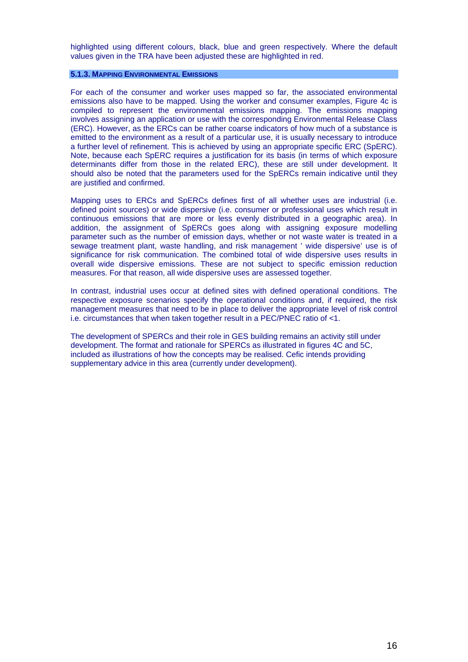<span id="page-15-0"></span>highlighted using different colours, black, blue and green respectively. Where the default values given in the TRA have been adjusted these are highlighted in red.

### **5.1.3. MAPPING ENVIRONMENTAL EMISSIONS**

For each of the consumer and worker uses mapped so far, the associated environmental emissions also have to be mapped. Using the worker and consumer examples, Figure 4c is compiled to represent the environmental emissions mapping. The emissions mapping involves assigning an application or use with the corresponding Environmental Release Class (ERC). However, as the ERCs can be rather coarse indicators of how much of a substance is emitted to the environment as a result of a particular use, it is usually necessary to introduce a further level of refinement. This is achieved by using an appropriate specific ERC (SpERC). Note, because each SpERC requires a justification for its basis (in terms of which exposure determinants differ from those in the related ERC), these are still under development. It should also be noted that the parameters used for the SpERCs remain indicative until they are justified and confirmed.

Mapping uses to ERCs and SpERCs defines first of all whether uses are industrial (i.e. defined point sources) or wide dispersive (i.e. consumer or professional uses which result in continuous emissions that are more or less evenly distributed in a geographic area). In addition, the assignment of SpERCs goes along with assigning exposure modelling parameter such as the number of emission days, whether or not waste water is treated in a sewage treatment plant, waste handling, and risk management ' wide dispersive' use is of significance for risk communication. The combined total of wide dispersive uses results in overall wide dispersive emissions. These are not subject to specific emission reduction measures. For that reason, all wide dispersive uses are assessed together.

In contrast, industrial uses occur at defined sites with defined operational conditions. The respective exposure scenarios specify the operational conditions and, if required, the risk management measures that need to be in place to deliver the appropriate level of risk control i.e. circumstances that when taken together result in a PEC/PNEC ratio of <1.

The development of SPERCs and their role in GES building remains an activity still under development. The format and rationale for SPERCs as illustrated in figures 4C and 5C, included as illustrations of how the concepts may be realised. Cefic intends providing supplementary advice in this area (currently under development).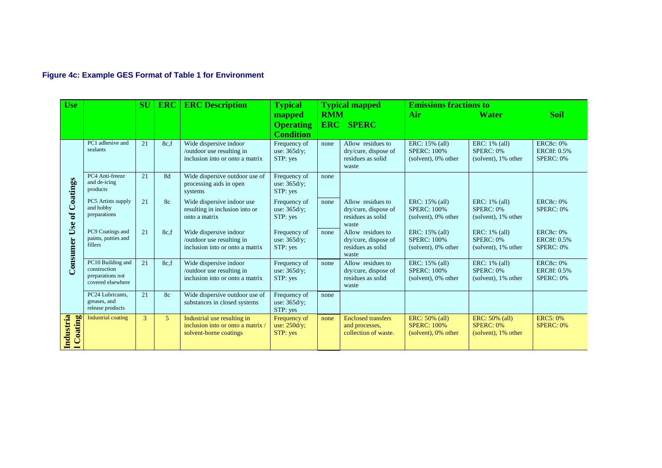# **Figure 4c: Example GES Format of Table 1 for Environment**

<span id="page-16-0"></span>

| <b>Use</b>                       | SU                                                                         |               | <b>ERC</b>     | <b>ERC Description</b>                                                                   | <b>Typical</b>                                                  |                          | <b>Typical mapped</b>                                                   | <b>Emissions fractions to</b>                                  |                                                           |                                              |
|----------------------------------|----------------------------------------------------------------------------|---------------|----------------|------------------------------------------------------------------------------------------|-----------------------------------------------------------------|--------------------------|-------------------------------------------------------------------------|----------------------------------------------------------------|-----------------------------------------------------------|----------------------------------------------|
|                                  |                                                                            |               |                |                                                                                          | mapped<br><b>Operating</b>                                      | <b>RMM</b><br><b>ERC</b> | <b>SPERC</b>                                                            | Air                                                            | <b>Water</b>                                              | <b>Soil</b>                                  |
|                                  | PC1 adhesive and<br>sealants                                               | 21            | 8c.f           | Wide dispersive indoor<br>/outdoor use resulting in<br>inclusion into or onto a matrix   | <b>Condition</b><br>Frequency of<br>use: $365d/y$ ;<br>STP: yes | none                     | Allow residues to<br>dry/cure, dispose of<br>residues as solid<br>waste | ERC: 15% (all)<br><b>SPERC: 100%</b><br>$(solvent)$ , 0% other | ERC: 1% (all)<br>SPERC: 0%<br>(solvent), 1% other         | <b>ERC8c: 0%</b><br>ERC8f: 0.5%<br>SPERC: 0% |
| Coatings                         | PC4 Anti-freeze<br>and de-icing<br>products                                | 21            | 8d             | Wide dispersive outdoor use of<br>processing aids in open<br>systems                     | Frequency of<br>use: $365d/y$ ;<br>STP: yes                     | none                     |                                                                         |                                                                |                                                           |                                              |
| $\mathbf{d}$<br>Use<br>Consumer  | PC5 Artists supply<br>and hobby<br>preparations                            | 21            | 8c             | Wide dispersive indoor use<br>resulting in inclusion into or<br>onto a matrix            | Frequency of<br>use: $365d/v$ ;<br>STP: yes                     | none                     | Allow residues to<br>dry/cure, dispose of<br>residues as solid<br>waste | ERC: 15% (all)<br><b>SPERC: 100%</b><br>(solvent), 0% other    | ERC: 1% (all)<br>SPERC: 0%<br>(solvent), 1% other         | <b>ERC8c: 0%</b><br>SPERC: 0%                |
|                                  | PC9 Coatings and<br>paints, putties and<br>fillers                         | 21            | 8c,f           | Wide dispersive indoor<br>/outdoor use resulting in<br>inclusion into or onto a matrix   | Frequency of<br>use: $365d/v$ ;<br>STP: yes                     | none                     | Allow residues to<br>dry/cure, dispose of<br>residues as solid<br>waste | ERC: 15% (all)<br><b>SPERC: 100%</b><br>$(solvent)$ , 0% other | ERC: 1% (all)<br>SPERC: 0%<br>(solvent), 1% other         | <b>ERC8c: 0%</b><br>ERC8f: 0.5%<br>SPERC: 0% |
|                                  | PC10 Building and<br>construction<br>preparations not<br>covered elsewhere | 21            | 8c.f           | Wide dispersive indoor<br>/outdoor use resulting in<br>inclusion into or onto a matrix   | Frequency of<br>use: 365d/y;<br>STP: yes                        | none                     | Allow residues to<br>dry/cure, dispose of<br>residues as solid<br>waste | ERC: 15% (all)<br><b>SPERC: 100%</b><br>(solvent), 0% other    | ERC: 1% (all)<br>SPERC: 0%<br>(solvent), 1% other         | <b>ERC8c: 0%</b><br>ERC8f: 0.5%<br>SPERC: 0% |
|                                  | PC24 Lubricants.<br>greases, and<br>release products                       | 21            | 8 <sub>c</sub> | Wide dispersive outdoor use of<br>substances in closed systems                           | Frequency of<br>use: $365d/y$ ;<br>STP: yes                     | none                     |                                                                         |                                                                |                                                           |                                              |
| Industria<br>Coating<br>$\equiv$ | <b>Industrial coating</b>                                                  | $\mathcal{E}$ | 5              | Industrial use resulting in<br>inclusion into or onto a matrix<br>solvent-borne coatings | Frequency of<br>use: $250d/y$ ;<br>STP: yes                     | none                     | <b>Enclosed transfers</b><br>and processes.<br>collection of waste.     | ERC: 50% (all)<br><b>SPERC: 100%</b><br>(solvent), 0% other    | ERC: 50% (all)<br><b>SPERC: 0%</b><br>(solvent), 1% other | <b>ERC5: 0%</b><br><b>SPERC: 0%</b>          |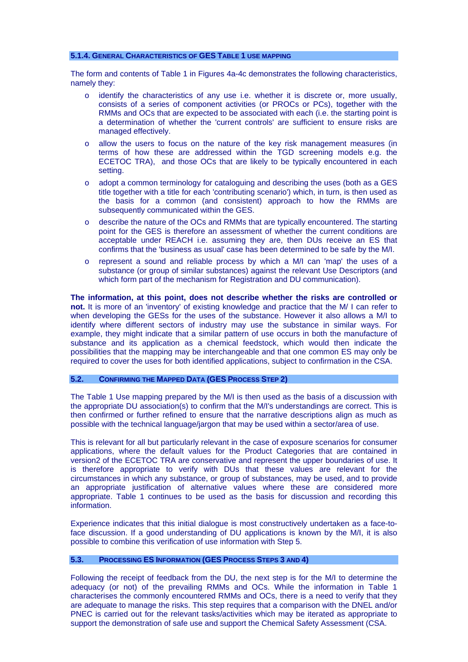#### <span id="page-17-0"></span>**5.1.4. GENERAL CHARACTERISTICS OF GES TABLE 1 USE MAPPING**

The form and contents of Table 1 in Figures 4a-4c demonstrates the following characteristics, namely they:

- $\circ$  identify the characteristics of any use i.e. whether it is discrete or, more usually, consists of a series of component activities (or PROCs or PCs), together with the RMMs and OCs that are expected to be associated with each (i.e. the starting point is a determination of whether the 'current controls' are sufficient to ensure risks are managed effectively.
- o allow the users to focus on the nature of the key risk management measures (in terms of how these are addressed within the TGD screening models e.g. the ECETOC TRA), and those OCs that are likely to be typically encountered in each setting.
- o adopt a common terminology for cataloguing and describing the uses (both as a GES title together with a title for each 'contributing scenario') which, in turn, is then used as the basis for a common (and consistent) approach to how the RMMs are subsequently communicated within the GES.
- o describe the nature of the OCs and RMMs that are typically encountered. The starting point for the GES is therefore an assessment of whether the current conditions are acceptable under REACH i.e. assuming they are, then DUs receive an ES that confirms that the 'business as usual' case has been determined to be safe by the M/I.
- o represent a sound and reliable process by which a M/I can 'map' the uses of a substance (or group of similar substances) against the relevant Use Descriptors (and which form part of the mechanism for Registration and DU communication).

**The information, at this point, does not describe whether the risks are controlled or not.** It is more of an 'inventory' of existing knowledge and practice that the M/ I can refer to when developing the GESs for the uses of the substance. However it also allows a M/I to identify where different sectors of industry may use the substance in similar ways. For example, they might indicate that a similar pattern of use occurs in both the manufacture of substance and its application as a chemical feedstock, which would then indicate the possibilities that the mapping may be interchangeable and that one common ES may only be required to cover the uses for both identified applications, subject to confirmation in the CSA.

#### **5.2. CONFIRMING THE MAPPED DATA (GES PROCESS STEP 2)**

The Table 1 Use mapping prepared by the M/I is then used as the basis of a discussion with the appropriate DU association(s) to confirm that the M/I's understandings are correct. This is then confirmed or further refined to ensure that the narrative descriptions align as much as possible with the technical language/jargon that may be used within a sector/area of use.

This is relevant for all but particularly relevant in the case of exposure scenarios for consumer applications, where the default values for the Product Categories that are contained in version2 of the ECETOC TRA are conservative and represent the upper boundaries of use. It is therefore appropriate to verify with DUs that these values are relevant for the circumstances in which any substance, or group of substances, may be used, and to provide an appropriate justification of alternative values where these are considered more appropriate. Table 1 continues to be used as the basis for discussion and recording this information.

Experience indicates that this initial dialogue is most constructively undertaken as a face-toface discussion. If a good understanding of DU applications is known by the M/I, it is also possible to combine this verification of use information with Step 5.

### **5.3. PROCESSING ES INFORMATION (GES PROCESS STEPS 3 AND 4)**

Following the receipt of feedback from the DU, the next step is for the M/I to determine the adequacy (or not) of the prevailing RMMs and OCs. While the information in Table 1 characterises the commonly encountered RMMs and OCs, there is a need to verify that they are adequate to manage the risks. This step requires that a comparison with the DNEL and/or PNEC is carried out for the relevant tasks/activities which may be iterated as appropriate to support the demonstration of safe use and support the Chemical Safety Assessment (CSA.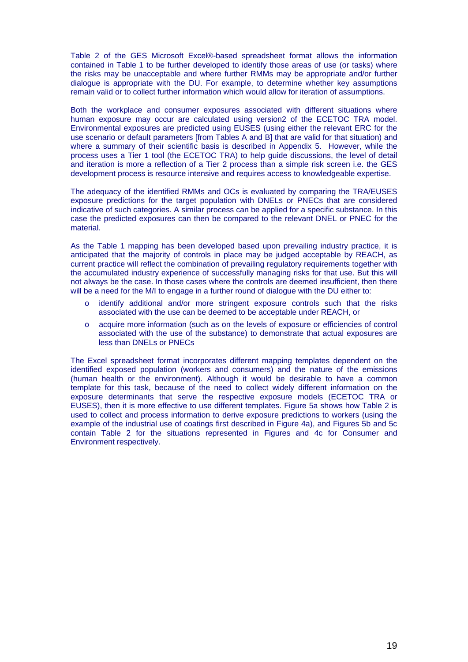Table 2 of the GES Microsoft Excel®-based spreadsheet format allows the information contained in Table 1 to be further developed to identify those areas of use (or tasks) where the risks may be unacceptable and where further RMMs may be appropriate and/or further dialogue is appropriate with the DU. For example, to determine whether key assumptions remain valid or to collect further information which would allow for iteration of assumptions.

Both the workplace and consumer exposures associated with different situations where human exposure may occur are calculated using version2 of the ECETOC TRA model. Environmental exposures are predicted using EUSES (using either the relevant ERC for the use scenario or default parameters [from Tables A and B] that are valid for that situation) and where a summary of their scientific basis is described in Appendix 5. However, while the process uses a Tier 1 tool (the ECETOC TRA) to help guide discussions, the level of detail and iteration is more a reflection of a Tier 2 process than a simple risk screen i.e. the GES development process is resource intensive and requires access to knowledgeable expertise.

The adequacy of the identified RMMs and OCs is evaluated by comparing the TRA/EUSES exposure predictions for the target population with DNELs or PNECs that are considered indicative of such categories. A similar process can be applied for a specific substance. In this case the predicted exposures can then be compared to the relevant DNEL or PNEC for the material.

As the Table 1 mapping has been developed based upon prevailing industry practice, it is anticipated that the majority of controls in place may be judged acceptable by REACH, as current practice will reflect the combination of prevailing regulatory requirements together with the accumulated industry experience of successfully managing risks for that use. But this will not always be the case. In those cases where the controls are deemed insufficient, then there will be a need for the M/I to engage in a further round of dialogue with the DU either to:

- o identify additional and/or more stringent exposure controls such that the risks associated with the use can be deemed to be acceptable under REACH, or
- o acquire more information (such as on the levels of exposure or efficiencies of control associated with the use of the substance) to demonstrate that actual exposures are less than DNELs or PNECs

The Excel spreadsheet format incorporates different mapping templates dependent on the identified exposed population (workers and consumers) and the nature of the emissions (human health or the environment). Although it would be desirable to have a common template for this task, because of the need to collect widely different information on the exposure determinants that serve the respective exposure models (ECETOC TRA or EUSES), then it is more effective to use different templates. Figure 5a shows how Table 2 is used to collect and process information to derive exposure predictions to workers (using the example of the industrial use of coatings first described in Figure 4a), and Figures 5b and 5c contain Table 2 for the situations represented in Figures and 4c for Consumer and Environment respectively.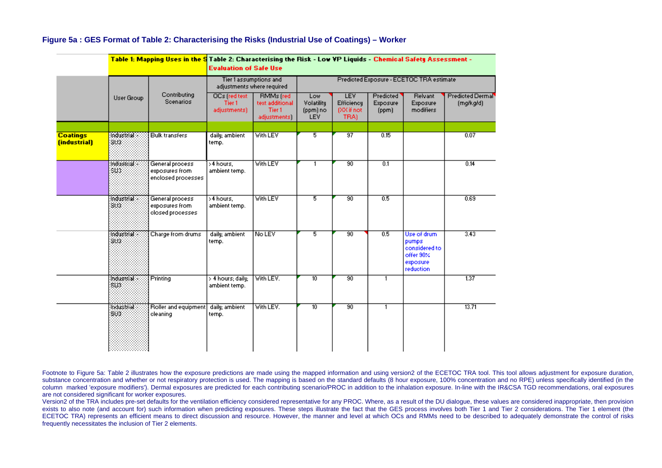|                                 |                           | Table 1: Mapping Uses in the S Table 2: Characterising the Risk - Low YP Liquids - Chemical Safety Assessment - | <b>Evaluation of Safe Use</b>                        |                                                               |                                          |                                                 |                                |                                                                              |                               |
|---------------------------------|---------------------------|-----------------------------------------------------------------------------------------------------------------|------------------------------------------------------|---------------------------------------------------------------|------------------------------------------|-------------------------------------------------|--------------------------------|------------------------------------------------------------------------------|-------------------------------|
|                                 |                           |                                                                                                                 | Tier 1 assumptions and<br>adjustments where required |                                                               | Predicted Exposure - ECETOC TRA estimate |                                                 |                                |                                                                              |                               |
|                                 | User Group                | Contributing<br><b>Scenarios</b>                                                                                | OCs [red test]<br>Tier 1<br>adjustments)             | <b>RMMs</b> (red<br>text additional<br>Tier 1<br>adjustments) | Low<br>Volatility<br>(ppm) no<br>LEV.    | <b>LEV</b><br>Efficiency<br>(XX if not<br>TRA). | Predicted<br>Exposure<br>(ppm) | <b>Relvant</b><br>Exposure<br>modifiers                                      | Predicted Dermal<br>(mg/kg/d) |
| <b>Coatings</b><br>(industrial) | Tracecida :<br>303        | <b>Bulk transfers</b>                                                                                           | daily; ambient<br>temp.                              | <b>With LEV</b>                                               | $\overline{5}$                           | $\overline{37}$                                 | 0.15                           |                                                                              | 0.07                          |
|                                 | :Iredustrial:<br>803.     | General process<br>exposures from<br>enclosed processes                                                         | >4 hours,<br>ambient temp.                           | <b>With LEV</b>                                               | 1                                        | $\overline{30}$                                 | 0.1                            |                                                                              | 0.14                          |
|                                 | <b>Industria</b><br>803   | General process<br>exposures from<br>closed processes                                                           | >4 hours.<br>ambient temp.                           | <b>With LEV</b>                                               | 5                                        | $\overline{30}$                                 | 0.5                            |                                                                              | 0.69                          |
|                                 | <b>Industrial</b><br>803. | Charge from drums                                                                                               | daily; ambient<br>temp.                              | No LEV                                                        | 5                                        | $\overline{90}$                                 | 0.5                            | Use of drum<br>pumps.<br>considered to<br>offer 90%<br>exposure<br>reduction | 3.43                          |
|                                 | <b>Inducerial</b><br>803. | Printing                                                                                                        | > 4 hours; daily;<br>ambient temp.                   | With LEV.                                                     | $\overline{10}$                          | 90                                              | $\mathbf{1}$                   |                                                                              | $\overline{137}$              |
|                                 | industrial<br>SV)         | Roller and equipment<br>cleaning                                                                                | daily; ambient<br>temp.                              | Vith LEV.                                                     | 10                                       | 90                                              | $\overline{1}$                 |                                                                              | 13.71                         |

### **Figure 5a : GES Format of Table 2: Characterising the Risks (Industrial Use of Coatings) – Worker**

Footnote to Figure 5a: Table 2 illustrates how the exposure predictions are made using the mapped information and using version2 of the ECETOC TRA tool. This tool allows adjustment for exposure duration, substance concentration and whether or not respiratory protection is used. The mapping is based on the standard defaults (8 hour exposure, 100% concentration and no RPE) unless specifically identified (in the column marked 'exposure modifiers'). Dermal exposures are predicted for each contributing scenario/PROC in addition to the inhalation exposure. In-line with the IR&CSA TGD recommendations, oral exposures are not considered significant for worker exposures.

<span id="page-19-0"></span>Version2 of the TRA includes pre-set defaults for the ventilation efficiency considered representative for any PROC. Where, as a result of the DU dialogue, these values are considered inappropriate, then provision exists to also note (and account for) such information when predicting exposures. These steps illustrate the fact that the GES process involves both Tier 1 and Tier 2 considerations. The Tier 1 element (the ECETOC TRA) represents an efficient means to direct discussion and resource. However, the manner and level at which OCs and RMMs need to be described to adequately demonstrate the control of risks frequently necessitates the inclusion of Tier 2 elements.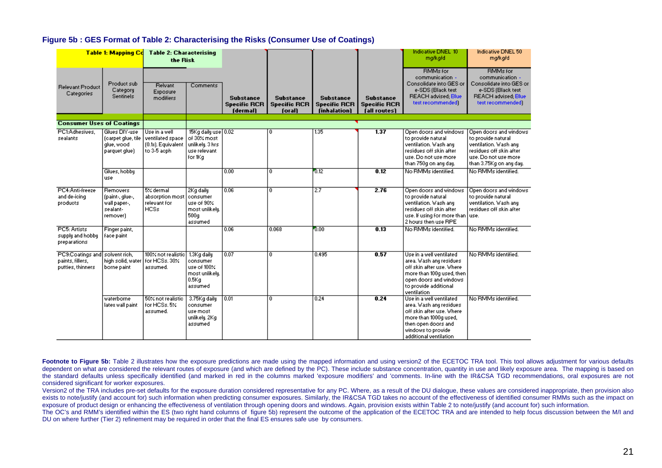#### **Figure 5b : GES Format of Table 2: Characterising the Risks (Consumer Use of Coatings)**

| <b>Table 1: Mapping Cd</b>                                              |                                                                            | <b>Table 2: Characterising</b><br>the Risk                             |                                                                                        |                                                     |                                                   |                                                         |                                                         | Indicative DNEL 10<br>małkałd                                                                                                                                                    | <b>Indicative DNEL 50</b><br>małkałd                                                                                                                |
|-------------------------------------------------------------------------|----------------------------------------------------------------------------|------------------------------------------------------------------------|----------------------------------------------------------------------------------------|-----------------------------------------------------|---------------------------------------------------|---------------------------------------------------------|---------------------------------------------------------|----------------------------------------------------------------------------------------------------------------------------------------------------------------------------------|-----------------------------------------------------------------------------------------------------------------------------------------------------|
| <b>Relevant Product</b><br>Categories                                   | Product sub<br>Category<br><b>Sentinels</b>                                | Relvant<br>Exposure<br>modifiers                                       | Comments                                                                               | <b>Substance</b><br><b>Specific RCR</b><br>(dermal) | <b>Substance</b><br><b>Specific RCR</b><br>(oral) | <b>Substance</b><br><b>Specific RCR</b><br>(inhalation) | <b>Substance</b><br><b>Specific RCR</b><br>(all routes) | <b>RMMs</b> for<br>communication -<br>Consolidate into GES or<br>e-SDS (Black text<br><b>REACH advised: Blue</b><br>text recommended)                                            | <b>RMMs for</b><br>communication -<br>Consolidate into GES or<br>e-SDS (Black text<br><b>REACH advised: Blue</b><br>text recommended)               |
| <b>Consumer Uses of Coatings</b>                                        |                                                                            |                                                                        |                                                                                        |                                                     |                                                   |                                                         |                                                         |                                                                                                                                                                                  |                                                                                                                                                     |
| PC1:Adhesives.<br>sealants                                              | Glues DIY-use<br>(carpet glue, tile<br>glue, wood<br>parquet glue)         | Use in a well<br>ventilated space<br>(0.1s). Equivalent<br>to 3-5 apph | 15Kg daily use 0.02<br>of 30% most<br>unlikelu, 3 hrs.<br>use relevant.<br>for 1Kg     |                                                     | n                                                 | 1.35                                                    | 1.37                                                    | Open doors and windows<br>to provide natural<br>ventilation. Wash any<br>residues off skin after<br>use. Do not use more<br>than 750g on any day.                                | Open doors and windows<br>to provide natural<br>ventilation. Wash any<br>residues off skin after<br>use. Do not use more<br>than 3.75Kg on any day. |
|                                                                         | Glues, hobby<br>use                                                        |                                                                        |                                                                                        | 0.00                                                | ō                                                 | 0.12                                                    | 0.12                                                    | No RMMs identified.                                                                                                                                                              | No RMMs identified.                                                                                                                                 |
| PC4:Anti-freeze<br>and de-icing<br>products                             | <b>Removers</b><br>(paint-, glue-,<br>wall paper-,<br>sealant-<br>remover) | $5$ % dermal<br>absorption most<br>relevant for<br><b>HCSs</b>         | 2Kg daily<br>  consumer<br>use of 90%<br>most unlikely.<br>500 <sub>q</sub><br>assumed | 0.06                                                | 0                                                 | 2.7                                                     | 2.76                                                    | Open doors and windows<br>to provide natural<br>ventilation. Wash any<br>residues off skin after<br>use. If using for more than   use.<br>2 hours then use RPE                   | Open doors and windows<br>to provide natural<br>ventilation. Wash any<br>residues off skin after                                                    |
| PC5: Artists<br>supply and hobby<br>preparations                        | Finger paint,<br>face paint                                                |                                                                        |                                                                                        | 0.06                                                | 0.068                                             | 0.00                                                    | 0.13                                                    | No RMMs identified.                                                                                                                                                              | No RMMs identified.                                                                                                                                 |
| PC9:Coatings and solvent rich,<br>paints, fillers,<br>putties, thinners | high solid, water<br>borne paint                                           | 100% not realistic 1.3Kg daily<br>For HCSs, 30%<br>assumed.            | consumer<br>use of $100\%$<br>most unlikely.<br>0.5Kq<br>assumed                       | 0.07                                                | 0                                                 | 0.495                                                   | 0.57                                                    | Use in a well ventilated<br>area. Wash any residues<br>off skin after use. Where<br>more than 100g used, then<br>open doors and windows<br>to provide additional<br>ventilation  | No RMMs identified.                                                                                                                                 |
|                                                                         | waterborne<br>lates wall paint                                             | 50% not realistic<br>for HCSs, 5%<br>assumed.                          | 3.75Kg daily<br>consumer<br>use most<br>unlikely. 2Kg<br>assumed                       | 0.01                                                | 0                                                 | 0.24                                                    | 0.24                                                    | Use in a well ventilated<br>area. Wash any residues<br>off skin after use. Where<br>more than 1000g used,<br>then open doors and<br>windows to provide<br>additional ventilation | No RMMs identified.                                                                                                                                 |

Footnote to Figure 5b: Table 2 illustrates how the exposure predictions are made using the mapped information and using version2 of the ECETOC TRA tool. This tool allows adjustment for various defaults dependent on what are considered the relevant routes of exposure (and which are defined by the PC). These include substance concentration, quantity in use and likely exposure area. The mapping is based on the standard defaults unless specifically identified (and marked in red in the columns marked 'exposure modifiers' and 'comments. In-line with the IR&CSA TGD recommendations, oral exposures are not considered significant for worker exposures.

Version2 of the TRA includes pre-set defaults for the exposure duration considered representative for any PC. Where, as a result of the DU dialogue, these values are considered inappropriate, then provision also exists to note/justify (and account for) such information when predicting consumer exposures. Similarly, the IR&CSA TGD takes no account of the effectiveness of identified consumer RMMs such as the impact on exposure of product design or enhancing the effectiveness of ventilation through opening doors and windows. Again, provision exists within Table 2 to note/justify (and account for) such information.

<span id="page-20-0"></span>The OC's and RMM's identified within the ES (two right hand columns of figure 5b) represent the outcome of the application of the ECETOC TRA and are intended to help focus discussion between the M/I and DU on where further (Tier 2) refinement may be required in order that the final ES ensures safe use by consumers.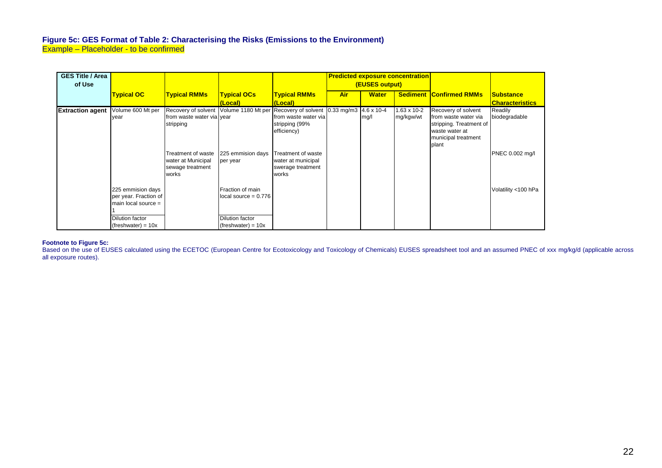### **Figure 5c: GES Format of Table 2: Characterising the Risks (Emissions to the Environment)**  Example – Placeholder - to be confirmed

| <b>GES Title / Area</b><br>of Use |                       |                           |                        |                                                                                  | <b>Predicted exposure concentration</b><br>(EUSES output) |              |                      |                                |                        |
|-----------------------------------|-----------------------|---------------------------|------------------------|----------------------------------------------------------------------------------|-----------------------------------------------------------|--------------|----------------------|--------------------------------|------------------------|
|                                   | <b>Typical OC</b>     | <b>Typical RMMs</b>       | <b>Typical OCs</b>     | <b>Typical RMMs</b>                                                              | Air                                                       | <b>Water</b> |                      | <b>Sediment Confirmed RMMs</b> | <u> ISubstance</u>     |
|                                   |                       |                           | (Local)                | (Local)                                                                          |                                                           |              |                      |                                | <b>Characteristics</b> |
| <b>Extraction agent</b>           | Volume 600 Mt per     |                           |                        | Recovery of solvent Volume 1180 Mt per Recovery of solvent 0.33 mg/m3 4.6 x 10-4 |                                                           |              | $1.63 \times 10 - 2$ | Recovery of solvent            | Readily                |
|                                   | year                  | from waste water via year |                        | from waste water via                                                             |                                                           | mg/l         | mg/kgw/wt            | from waste water via           | biodegradable          |
|                                   |                       | stripping                 |                        | stripping (99%                                                                   |                                                           |              |                      | stripping. Treatment of        |                        |
|                                   |                       |                           |                        | efficiency)                                                                      |                                                           |              |                      | waste water at                 |                        |
|                                   |                       |                           |                        |                                                                                  |                                                           |              |                      | municipal treatment            |                        |
|                                   |                       |                           |                        |                                                                                  |                                                           |              |                      | plant                          |                        |
|                                   |                       | Treatment of waste        | 225 emmision days      | Treatment of waste                                                               |                                                           |              |                      |                                | PNEC 0.002 mg/l        |
|                                   |                       | water at Municipal        | per year               | water at municipal                                                               |                                                           |              |                      |                                |                        |
|                                   |                       | sewage treatment          |                        | swerage treatment                                                                |                                                           |              |                      |                                |                        |
|                                   |                       | works                     |                        | works                                                                            |                                                           |              |                      |                                |                        |
|                                   |                       |                           |                        |                                                                                  |                                                           |              |                      |                                |                        |
|                                   | 225 emmision days     |                           | Fraction of main       |                                                                                  |                                                           |              |                      |                                | Volatility <100 hPa    |
|                                   | per year. Fraction of |                           | local source $= 0.776$ |                                                                                  |                                                           |              |                      |                                |                        |
|                                   | main local source $=$ |                           |                        |                                                                                  |                                                           |              |                      |                                |                        |
|                                   |                       |                           |                        |                                                                                  |                                                           |              |                      |                                |                        |
|                                   | Dilution factor       |                           | Dilution factor        |                                                                                  |                                                           |              |                      |                                |                        |
|                                   | $(freshwater) = 10x$  |                           | $(freshwater) = 10x$   |                                                                                  |                                                           |              |                      |                                |                        |

#### **Footnote to Figure 5c:**

<span id="page-21-0"></span>Based on the use of EUSES calculated using the ECETOC (European Centre for Ecotoxicology and Toxicology of Chemicals) EUSES spreadsheet tool and an assumed PNEC of xxx mg/kg/d (applicable across all exposure routes).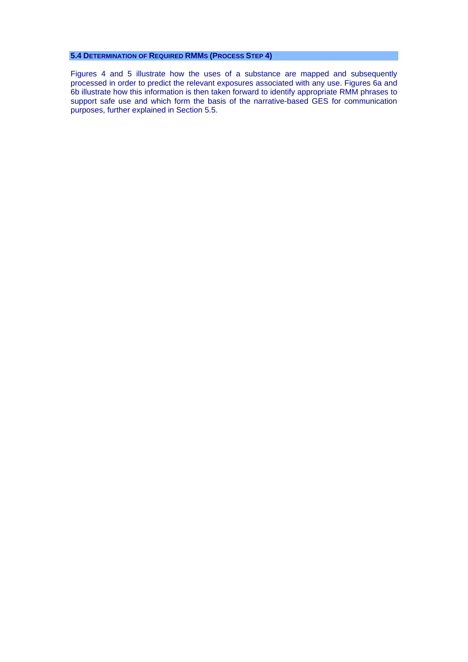### <span id="page-22-0"></span>**5.4 DETERMINATION OF REQUIRED RMMS (PROCESS STEP 4)**

Figures 4 and 5 illustrate how the uses of a substance are mapped and subsequently processed in order to predict the relevant exposures associated with any use. Figures 6a and 6b illustrate how this information is then taken forward to identify appropriate RMM phrases to support safe use and which form the basis of the narrative-based GES for communication purposes, further explained in Section 5.5.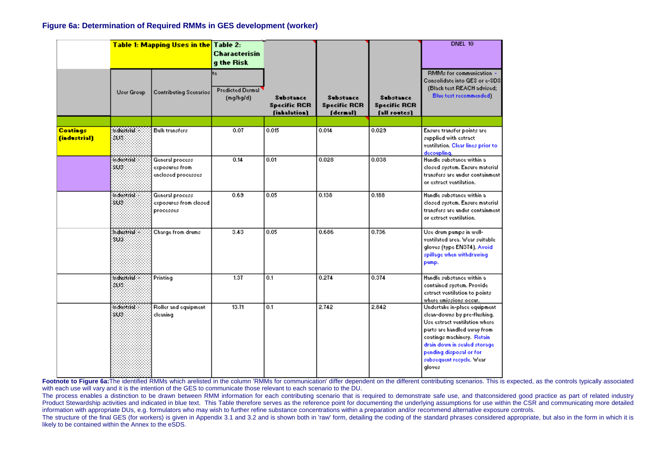#### **Figure 6a: Determination of Required RMMs in GES development (worker)**

|                                              | Table 1: Mapping Uses in the Table 2: |                                                          | Characterisin<br>g the Risk                |                                                  |                                                     |                                                         | DNEL 10                                                                                                                                                                                                                                                     |
|----------------------------------------------|---------------------------------------|----------------------------------------------------------|--------------------------------------------|--------------------------------------------------|-----------------------------------------------------|---------------------------------------------------------|-------------------------------------------------------------------------------------------------------------------------------------------------------------------------------------------------------------------------------------------------------------|
|                                              | <b>User Group</b>                     | <b>Contributing Scenarios</b>                            | te<br><b>Predicted Dermal</b><br>(mq/kg/d) | Substance<br><b>Specific RCR</b><br>(inhalation) | <b>Substance</b><br><b>Specific RCR</b><br>(dermal) | <b>Substance</b><br><b>Specific RCR</b><br>[all routes] | RMMs for communication -<br>Consolidate into GES or e-SDS<br>(Black text REACH advised;<br>Blue text recommended)                                                                                                                                           |
|                                              |                                       |                                                          |                                            |                                                  |                                                     |                                                         |                                                                                                                                                                                                                                                             |
| <b>Coatings</b><br><i><b>findustrial</b></i> | <b>Industrial</b><br>86               | Bulk transfers                                           | 0.07                                       | 0.015                                            | 0.014                                               | 0.029                                                   | Ensure transfer points are<br>supplied with extract<br>ventilation. Clear lines prior to<br>decoupling.                                                                                                                                                     |
|                                              | indostrist:<br>SUS.                   | General process<br>exposures from<br>enclosed processes. | 0.14                                       | 0.01                                             | 0.028                                               | 0.038                                                   | Handle substance within a<br>closed system. Ensure material<br>transfers are under containment.<br>or extract ventilation.                                                                                                                                  |
|                                              | indostrist<br>SUS.                    | General process<br>exposures from closed<br>processes    | 0.69                                       | 0.05                                             | 0.138                                               | 0.188                                                   | Handle substance within a<br>closed system. Ensure material<br>transfers are under containment.<br>or extract ventilation.                                                                                                                                  |
|                                              | habisonaf:<br>SÚI.                    | Charge from drums                                        | 3.43                                       | 0.05                                             | 0.686                                               | 0.736                                                   | Use drum pumps in well-<br>ventilated area. Wear suitable<br>gloves (type EN374). Avoid<br>spillage when withdrawing<br>pump.                                                                                                                               |
|                                              | Industred:<br>803                     | Printing                                                 | 1.37                                       | 0.1                                              | 0.274                                               | 0.374                                                   | Handle substance within a<br>contained system. Provide<br>extract ventilation to points.<br>where emissions occur.                                                                                                                                          |
|                                              | indostrist:<br>SUS.                   | Roller and equipment<br>cleaning                         | 13.71                                      | 0.1                                              | 2.742                                               | 2.842                                                   | Undertake in-place equipment<br>clean-downs by pre-flushing.<br>Use extract ventilation where<br>parts are handled away from<br>coatings machinery. Retain<br>drain down in sealed storage<br>pending disposal or for<br>subsequent recycle, wear<br>gloves |

**Footnote to Figure 6a:**The identified RMMs which arelisted in the column 'RMMs for communication' differ dependent on the different contributing scenarios. This is expected, as the controls typically associated with each use will vary and it is the intention of the GES to communicate those relevant to each scenario to the DU.

The process enables a distinction to be drawn between RMM information for each contributing scenario that is required to demonstrate safe use, and thatconsidered good practice as part of related industry Product Stewardship activities and indicated in blue text. This Table therefore serves as the reference point for documenting the underlying assumptions for use within the CSR and communicating more detailed information with appropriate DUs, e.g. formulators who may wish to further refine substance concentrations within a preparation and/or recommend alternative exposure controls.

<span id="page-23-0"></span>The structure of the final GES (for workers) is given in Appendix 3.1 and 3.2 and is shown both in 'raw' form, detailing the coding of the standard phrases considered appropriate, but also in the form in which it is likely to be contained within the Annex to the eSDS.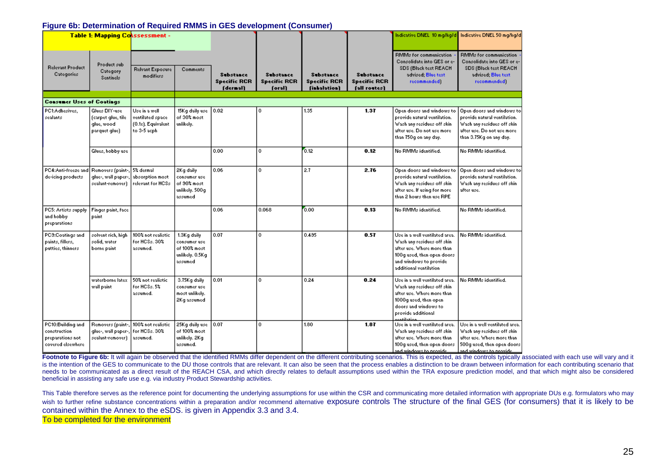### **Figure 6b: Determination of Required RMMS in GES development (Consumer)**

|                                                                             | <b>Table 1: Mapping Co</b> kssessment -                             |                                                                         |                                                                           |                                                     |                                                   |                                                         |                                                         |                                                                                                                                                                               | Indicative DNEL 10 mg/kg/d Indicative DNEL 50 mg/kg/d                                                                                                |
|-----------------------------------------------------------------------------|---------------------------------------------------------------------|-------------------------------------------------------------------------|---------------------------------------------------------------------------|-----------------------------------------------------|---------------------------------------------------|---------------------------------------------------------|---------------------------------------------------------|-------------------------------------------------------------------------------------------------------------------------------------------------------------------------------|------------------------------------------------------------------------------------------------------------------------------------------------------|
| <b>Relevant Product</b><br>Categories                                       | Product sub-<br>Category<br>Sentinels                               | Relvant Exposure<br>modifiers                                           | Comments                                                                  | <b>Substance</b><br><b>Specific RCR</b><br>(dermal) | <b>Substance</b><br><b>Specific RCR</b><br>(oral) | <b>Substance</b><br><b>Specific RCR</b><br>(inhalation) | <b>Substance</b><br><b>Specific RCR</b><br>[all routes] | RMMs for communication<br>Consolidate into GES or e-<br>SDS (Black text REACH<br>advised; Blue text<br>recommended)                                                           | RMMs for communication<br>Consolidate into GES or e-<br>SDS (Black text REACH<br>advised; Blue text<br>recommended)                                  |
|                                                                             |                                                                     |                                                                         |                                                                           |                                                     |                                                   |                                                         |                                                         |                                                                                                                                                                               |                                                                                                                                                      |
| <b>Consumer Uses of Coatings</b>                                            |                                                                     |                                                                         |                                                                           |                                                     |                                                   |                                                         |                                                         |                                                                                                                                                                               |                                                                                                                                                      |
| PC1:Adhesives,<br>sealants                                                  | Glues DIY-use<br>(carpet glue, tile<br>glue, wood<br>parquet glue). | Use in a well<br>ventilated space<br>(0.1x). Equivalent<br>to 3-5 acph. | 15Kg daily use<br>of 30% most<br>unlikely.                                | 0.02                                                | 0                                                 | 1.35                                                    | 1.37                                                    | Open doors and windows to<br>provide natural ventilation.<br>Wash any residues off skin<br>after use. Do not use more<br>than 750g on any day.                                | Open doors and windows to<br>provide natural ventilation.<br>Wash any residues off skin-<br>after use. Do not use more-<br>than 3.75Kg on any day.   |
|                                                                             | Glues, hobby use                                                    |                                                                         |                                                                           | 0.00                                                | $\mathbf 0$                                       | 0.12                                                    | 0.12                                                    | No RMMs identified.                                                                                                                                                           | No RMMs identified.                                                                                                                                  |
| PC4:Anti-freeze and<br>de-icing products.                                   | Removers (paint-,<br>glue-, wall paper-<br>sealant-remover)         | 5% dermal<br>absorption most<br>relevant for HCSs.                      | 2Kg daily<br>consumer use<br>of 90% most<br>unlikely. 500g<br>assumed     | 0.06                                                | $\mathbf{0}$                                      | 2.7                                                     | 2.76                                                    | Open doors and windows to<br>provide natural ventilation.<br>Wash any residues off skin-<br>after use. If using for more<br>than 2 hours then use RPE.                        | Open doors and windows to<br>provide natural ventilation.<br>Wash any residues off skin<br>after use.                                                |
| PC5: Artists supply<br>and hobby<br>preparations:                           | Finger paint, face<br>paint                                         |                                                                         |                                                                           | 0.06                                                | 0.068                                             | 0.00                                                    | 0.13                                                    | No RMMs identified.                                                                                                                                                           | No RMMs identified.                                                                                                                                  |
| PC3:Costings and<br>paints, fillers,<br>putties, thinners                   | solvent rich, high<br>solid, water<br>borne paint                   | 100% not realistic<br>for HCSs, 30%<br>assumed.                         | 1.3Kg daily<br>consumer use<br>of 100% most<br>unlikely. 0.5Kg<br>assumed | 0.07                                                | 0                                                 | 0.495                                                   | 0.57                                                    | Use in a well ventilated area.<br>Wash any residues off skin-<br>after use. Where more than<br>100g used, then open doors<br>and windows to provide<br>additional ventilation | No RMMs identified.                                                                                                                                  |
|                                                                             | waterborne latex<br>wall paint.                                     | 50% not realistic<br>for HCSs, 5%<br>assumed.                           | 3.75Kg daily<br>consumer use<br>most unlikely.<br>2Kg assumed             | 0.01                                                | 0.                                                | 0.24                                                    | 0.24                                                    | Use in a well ventilated area.<br>Wash any residues off skin-<br>after use. Where more than<br>1000g used, then open<br>doors and windows to<br>provide additional            | No RMMs identified.                                                                                                                                  |
| PC10:Building and<br>construction<br>preparations not<br>covered elsewhere. | Removers (paint-,<br>glue-, wall paper-<br>sealant-remover)         | 100% not realistic<br>for HCSs, 30%<br>assumed.                         | 25Kg daily use<br>of 100% most<br>unlikely. 2Kg<br>assumed.               | 0.07                                                | 0                                                 | 1.80                                                    | 1.87                                                    | Use in a well ventilated area.<br>Wash any residues off skin-<br>after use. Where more than-<br>100g used, then open doors<br>and windows to provide                          | Use in a well ventilated area.<br>Wash any residues off skin-<br>after use. Where more than<br>500g used, then open doors.<br>and windows to provide |

Footnote to Figure 6b: It will again be observed that the identified RMMs differ dependent on the different contributing scenarios. This is expected, as the controls typically associated with each use will vary and it is the intention of the GES to communicate to the DU those controls that are relevant. It can also be seen that the process enables a distinction to be drawn between information for each contributing scenario that needs to be communicated as a direct result of the REACH CSA, and which directly relates to default assumptions used within the TRA exposure prediction model, and that which might also be considered beneficial in assisting any safe use e.g. via industry Product Stewardship activities.

This Table therefore serves as the reference point for documenting the underlying assumptions for use within the CSR and communicating more detailed information with appropriate DUs e.g. formulators who may wish to further refine substance concentrations within a preparation and/or recommend alternative exposure controls The structure of the final GES (for consumers) that it is likely to be contained within the Annex to the eSDS. is given in Appendix 3.3 and 3.4.

<span id="page-24-0"></span>To be completed for the environment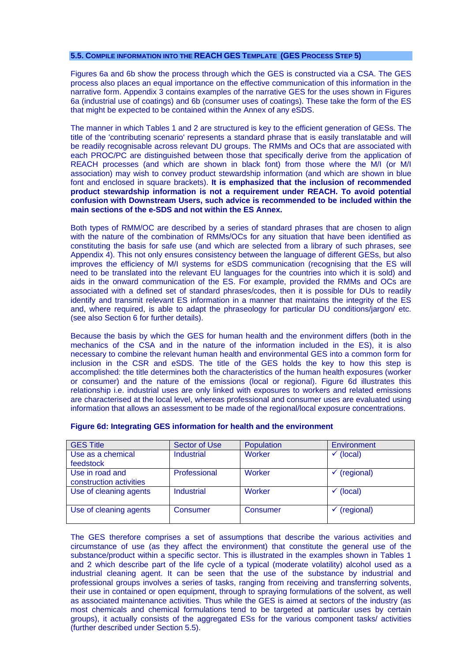### <span id="page-25-0"></span>**5.5. COMPILE INFORMATION INTO THE REACH GES TEMPLATE (GES PROCESS STEP 5)**

Figures 6a and 6b show the process through which the GES is constructed via a CSA. The GES process also places an equal importance on the effective communication of this information in the narrative form. Appendix 3 contains examples of the narrative GES for the uses shown in Figures 6a (industrial use of coatings) and 6b (consumer uses of coatings). These take the form of the ES that might be expected to be contained within the Annex of any eSDS.

The manner in which Tables 1 and 2 are structured is key to the efficient generation of GESs. The title of the 'contributing scenario' represents a standard phrase that is easily translatable and will be readily recognisable across relevant DU groups. The RMMs and OCs that are associated with each PROC/PC are distinguished between those that specifically derive from the application of REACH processes (and which are shown in black font) from those where the M/I (or M/I association) may wish to convey product stewardship information (and which are shown in blue font and enclosed in square brackets). **It is emphasized that the inclusion of recommended product stewardship information is not a requirement under REACH. To avoid potential confusion with Downstream Users, such advice is recommended to be included within the main sections of the e-SDS and not within the ES Annex.**

Both types of RMM/OC are described by a series of standard phrases that are chosen to align with the nature of the combination of RMMs/OCs for any situation that have been identified as constituting the basis for safe use (and which are selected from a library of such phrases, see Appendix 4). This not only ensures consistency between the language of different GESs, but also improves the efficiency of M/I systems for eSDS communication (recognising that the ES will need to be translated into the relevant EU languages for the countries into which it is sold) and aids in the onward communication of the ES. For example, provided the RMMs and OCs are associated with a defined set of standard phrases/codes, then it is possible for DUs to readily identify and transmit relevant ES information in a manner that maintains the integrity of the ES and, where required, is able to adapt the phraseology for particular DU conditions/jargon/ etc. (see also Section 6 for further details).

Because the basis by which the GES for human health and the environment differs (both in the mechanics of the CSA and in the nature of the information included in the ES), it is also necessary to combine the relevant human health and environmental GES into a common form for inclusion in the CSR and eSDS. The title of the GES holds the key to how this step is accomplished: the title determines both the characteristics of the human health exposures (worker or consumer) and the nature of the emissions (local or regional). Figure 6d illustrates this relationship i.e. industrial uses are only linked with exposures to workers and related emissions are characterised at the local level, whereas professional and consumer uses are evaluated using information that allows an assessment to be made of the regional/local exposure concentrations.

| <b>GES Title</b>                           | Sector of Use | Population | Environment |
|--------------------------------------------|---------------|------------|-------------|
| Use as a chemical<br>feedstock             | Industrial    | Worker     | (local)     |
| Use in road and<br>construction activities | Professional  | Worker     | (regional)  |
| Use of cleaning agents                     | Industrial    | Worker     | (local)     |
| Use of cleaning agents                     | Consumer      | Consumer   | (regional)  |

#### **Figure 6d: Integrating GES information for health and the environment**

The GES therefore comprises a set of assumptions that describe the various activities and circumstance of use (as they affect the environment) that constitute the general use of the substance/product within a specific sector. This is illustrated in the examples shown in Tables 1 and 2 which describe part of the life cycle of a typical (moderate volatility) alcohol used as a industrial cleaning agent. It can be seen that the use of the substance by industrial and professional groups involves a series of tasks, ranging from receiving and transferring solvents, their use in contained or open equipment, through to spraying formulations of the solvent, as well as associated maintenance activities. Thus while the GES is aimed at sectors of the industry (as most chemicals and chemical formulations tend to be targeted at particular uses by certain groups), it actually consists of the aggregated ESs for the various component tasks/ activities (further described under Section 5.5).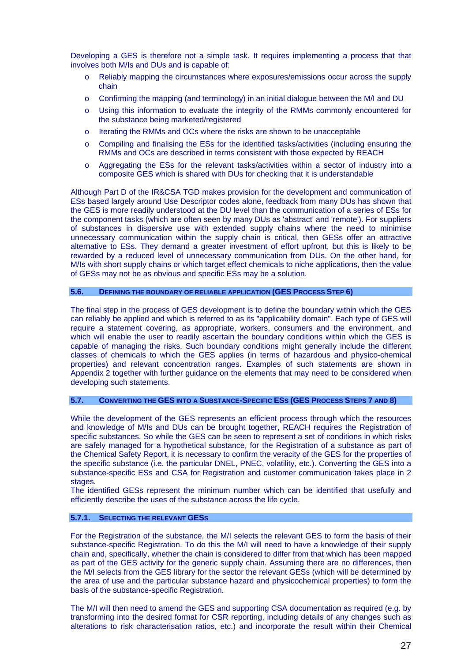<span id="page-26-0"></span>Developing a GES is therefore not a simple task. It requires implementing a process that that involves both M/Is and DUs and is capable of:

- o Reliably mapping the circumstances where exposures/emissions occur across the supply chain
- o Confirming the mapping (and terminology) in an initial dialogue between the M/I and DU
- o Using this information to evaluate the integrity of the RMMs commonly encountered for the substance being marketed/registered
- o Iterating the RMMs and OCs where the risks are shown to be unacceptable
- o Compiling and finalising the ESs for the identified tasks/activities (including ensuring the RMMs and OCs are described in terms consistent with those expected by REACH
- o Aggregating the ESs for the relevant tasks/activities within a sector of industry into a composite GES which is shared with DUs for checking that it is understandable

Although Part D of the IR&CSA TGD makes provision for the development and communication of ESs based largely around Use Descriptor codes alone, feedback from many DUs has shown that the GES is more readily understood at the DU level than the communication of a series of ESs for the component tasks (which are often seen by many DUs as 'abstract' and 'remote'). For suppliers of substances in dispersive use with extended supply chains where the need to minimise unnecessary communication within the supply chain is critical, then GESs offer an attractive alternative to ESs. They demand a greater investment of effort upfront, but this is likely to be rewarded by a reduced level of unnecessary communication from DUs. On the other hand, for M/Is with short supply chains or which target effect chemicals to niche applications, then the value of GESs may not be as obvious and specific ESs may be a solution.

### **5.6. DEFINING THE BOUNDARY OF RELIABLE APPLICATION (GES PROCESS STEP 6)**

The final step in the process of GES development is to define the boundary within which the GES can reliably be applied and which is referred to as its "applicability domain". Each type of GES will require a statement covering, as appropriate, workers, consumers and the environment, and which will enable the user to readily ascertain the boundary conditions within which the GES is capable of managing the risks. Such boundary conditions might generally include the different classes of chemicals to which the GES applies (in terms of hazardous and physico-chemical properties) and relevant concentration ranges. Examples of such statements are shown in Appendix 2 together with further guidance on the elements that may need to be considered when developing such statements.

## **5.7. CONVERTING THE GES INTO A SUBSTANCE-SPECIFIC ESS (GES PROCESS STEPS 7 AND 8)**

While the development of the GES represents an efficient process through which the resources and knowledge of M/Is and DUs can be brought together, REACH requires the Registration of specific substances. So while the GES can be seen to represent a set of conditions in which risks are safely managed for a hypothetical substance, for the Registration of a substance as part of the Chemical Safety Report, it is necessary to confirm the veracity of the GES for the properties of the specific substance (i.e. the particular DNEL, PNEC, volatility, etc.). Converting the GES into a substance-specific ESs and CSA for Registration and customer communication takes place in 2 stages.

The identified GESs represent the minimum number which can be identified that usefully and efficiently describe the uses of the substance across the life cycle.

#### **5.7.1. SELECTING THE RELEVANT GESS**

For the Registration of the substance, the M/I selects the relevant GES to form the basis of their substance-specific Registration. To do this the M/I will need to have a knowledge of their supply chain and, specifically, whether the chain is considered to differ from that which has been mapped as part of the GES activity for the generic supply chain. Assuming there are no differences, then the M/I selects from the GES library for the sector the relevant GESs (which will be determined by the area of use and the particular substance hazard and physicochemical properties) to form the basis of the substance-specific Registration.

The M/I will then need to amend the GES and supporting CSA documentation as required (e.g. by transforming into the desired format for CSR reporting, including details of any changes such as alterations to risk characterisation ratios, etc.) and incorporate the result within their Chemical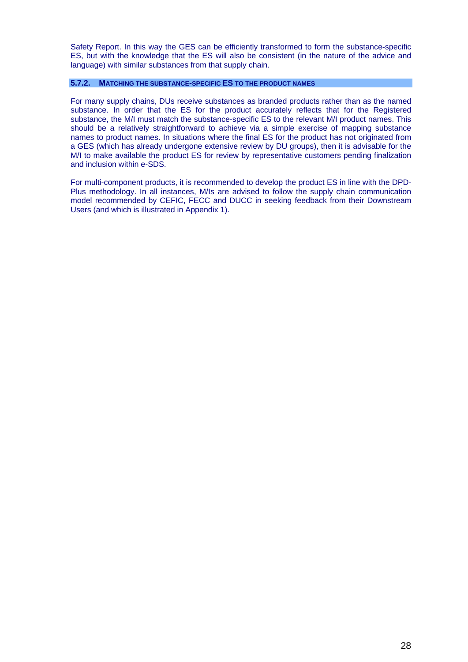<span id="page-27-0"></span>Safety Report. In this way the GES can be efficiently transformed to form the substance-specific ES, but with the knowledge that the ES will also be consistent (in the nature of the advice and language) with similar substances from that supply chain.

## **5.7.2. MATCHING THE SUBSTANCE-SPECIFIC ES TO THE PRODUCT NAMES**

For many supply chains, DUs receive substances as branded products rather than as the named substance. In order that the ES for the product accurately reflects that for the Registered substance, the M/I must match the substance-specific ES to the relevant M/I product names. This should be a relatively straightforward to achieve via a simple exercise of mapping substance names to product names. In situations where the final ES for the product has not originated from a GES (which has already undergone extensive review by DU groups), then it is advisable for the M/I to make available the product ES for review by representative customers pending finalization and inclusion within e-SDS.

For multi-component products, it is recommended to develop the product ES in line with the DPD-Plus methodology. In all instances, M/Is are advised to follow the supply chain communication model recommended by CEFIC, FECC and DUCC in seeking feedback from their Downstream Users (and which is illustrated in Appendix 1).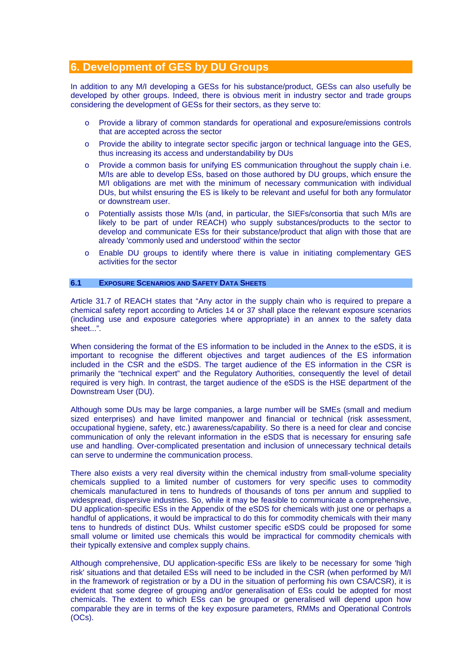# <span id="page-28-0"></span>**6. Development of GES by DU Groups**

In addition to any M/I developing a GESs for his substance/product, GESs can also usefully be developed by other groups. Indeed, there is obvious merit in industry sector and trade groups considering the development of GESs for their sectors, as they serve to:

- o Provide a library of common standards for operational and exposure/emissions controls that are accepted across the sector
- o Provide the ability to integrate sector specific jargon or technical language into the GES, thus increasing its access and understandability by DUs
- $\circ$  Provide a common basis for unifying ES communication throughout the supply chain i.e. M/Is are able to develop ESs, based on those authored by DU groups, which ensure the M/I obligations are met with the minimum of necessary communication with individual DUs, but whilst ensuring the ES is likely to be relevant and useful for both any formulator or downstream user.
- o Potentially assists those M/Is (and, in particular, the SIEFs/consortia that such M/Is are likely to be part of under REACH) who supply substances/products to the sector to develop and communicate ESs for their substance/product that align with those that are already 'commonly used and understood' within the sector
- o Enable DU groups to identify where there is value in initiating complementary GES activities for the sector

#### **6.1 EXPOSURE SCENARIOS AND SAFETY DATA SHEETS**

Article 31.7 of REACH states that "Any actor in the supply chain who is required to prepare a chemical safety report according to Articles 14 or 37 shall place the relevant exposure scenarios (including use and exposure categories where appropriate) in an annex to the safety data sheet...".

When considering the format of the ES information to be included in the Annex to the eSDS, it is important to recognise the different objectives and target audiences of the ES information included in the CSR and the eSDS. The target audience of the ES information in the CSR is primarily the "technical expert" and the Regulatory Authorities, consequently the level of detail required is very high. In contrast, the target audience of the eSDS is the HSE department of the Downstream User (DU).

Although some DUs may be large companies, a large number will be SMEs (small and medium sized enterprises) and have limited manpower and financial or technical (risk assessment, occupational hygiene, safety, etc.) awareness/capability. So there is a need for clear and concise communication of only the relevant information in the eSDS that is necessary for ensuring safe use and handling. Over-complicated presentation and inclusion of unnecessary technical details can serve to undermine the communication process.

There also exists a very real diversity within the chemical industry from small-volume speciality chemicals supplied to a limited number of customers for very specific uses to commodity chemicals manufactured in tens to hundreds of thousands of tons per annum and supplied to widespread, dispersive industries. So, while it may be feasible to communicate a comprehensive, DU application-specific ESs in the Appendix of the eSDS for chemicals with just one or perhaps a handful of applications, it would be impractical to do this for commodity chemicals with their many tens to hundreds of distinct DUs. Whilst customer specific eSDS could be proposed for some small volume or limited use chemicals this would be impractical for commodity chemicals with their typically extensive and complex supply chains.

Although comprehensive, DU application-specific ESs are likely to be necessary for some 'high risk' situations and that detailed ESs will need to be included in the CSR (when performed by M/I in the framework of registration or by a DU in the situation of performing his own CSA/CSR), it is evident that some degree of grouping and/or generalisation of ESs could be adopted for most chemicals. The extent to which ESs can be grouped or generalised will depend upon how comparable they are in terms of the key exposure parameters, RMMs and Operational Controls (OCs).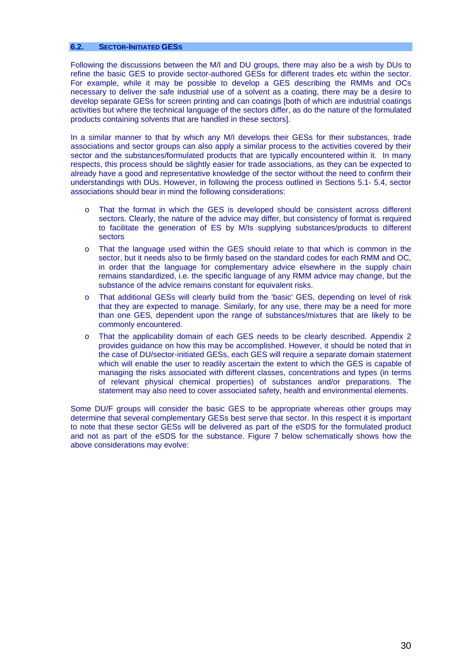#### <span id="page-29-0"></span>**6.2. SECTOR-INITIATED GESS**

Following the discussions between the M/I and DU groups, there may also be a wish by DUs to refine the basic GES to provide sector-authored GESs for different trades etc within the sector. For example, while it may be possible to develop a GES describing the RMMs and OCs necessary to deliver the safe industrial use of a solvent as a coating, there may be a desire to develop separate GESs for screen printing and can coatings [both of which are industrial coatings activities but where the technical language of the sectors differ, as do the nature of the formulated products containing solvents that are handled in these sectors].

In a similar manner to that by which any M/I develops their GESs for their substances, trade associations and sector groups can also apply a similar process to the activities covered by their sector and the substances/formulated products that are typically encountered within it. In many respects, this process should be slightly easier for trade associations, as they can be expected to already have a good and representative knowledge of the sector without the need to confirm their understandings with DUs. However, in following the process outlined in Sections 5.1- 5.4, sector associations should bear in mind the following considerations:

- o That the format in which the GES is developed should be consistent across different sectors. Clearly, the nature of the advice may differ, but consistency of format is required to facilitate the generation of ES by M/Is supplying substances/products to different sectors
- o That the language used within the GES should relate to that which is common in the sector, but it needs also to be firmly based on the standard codes for each RMM and OC, in order that the language for complementary advice elsewhere in the supply chain remains standardized, i.e. the specific language of any RMM advice may change, but the substance of the advice remains constant for equivalent risks.
- o That additional GESs will clearly build from the 'basic' GES, depending on level of risk that they are expected to manage. Similarly, for any use, there may be a need for more than one GES, dependent upon the range of substances/mixtures that are likely to be commonly encountered.
- o That the applicability domain of each GES needs to be clearly described. Appendix 2 provides guidance on how this may be accomplished. However, it should be noted that in the case of DU/sector-initiated GESs, each GES will require a separate domain statement which will enable the user to readily ascertain the extent to which the GES is capable of managing the risks associated with different classes, concentrations and types (in terms of relevant physical chemical properties) of substances and/or preparations. The statement may also need to cover associated safety, health and environmental elements.

Some DU/F groups will consider the basic GES to be appropriate whereas other groups may determine that several complementary GESs best serve that sector. In this respect it is important to note that these sector GESs will be delivered as part of the eSDS for the formulated product and not as part of the eSDS for the substance. Figure 7 below schematically shows how the above considerations may evolve: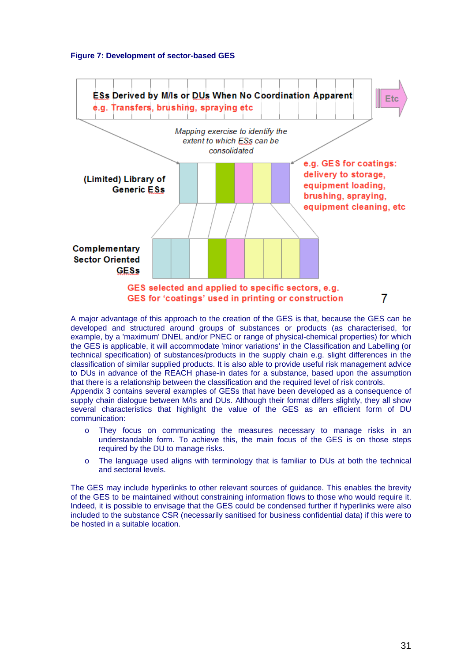#### <span id="page-30-0"></span>**Figure 7: Development of sector-based GES**



A major advantage of this approach to the creation of the GES is that, because the GES can be developed and structured around groups of substances or products (as characterised, for example, by a 'maximum' DNEL and/or PNEC or range of physical-chemical properties) for which the GES is applicable, it will accommodate 'minor variations' in the Classification and Labelling (or technical specification) of substances/products in the supply chain e.g. slight differences in the classification of similar supplied products. It is also able to provide useful risk management advice to DUs in advance of the REACH phase-in dates for a substance, based upon the assumption that there is a relationship between the classification and the required level of risk controls.

Appendix 3 contains several examples of GESs that have been developed as a consequence of supply chain dialogue between M/Is and DUs. Although their format differs slightly, they all show several characteristics that highlight the value of the GES as an efficient form of DU communication:

- o They focus on communicating the measures necessary to manage risks in an understandable form. To achieve this, the main focus of the GES is on those steps required by the DU to manage risks.
- o The language used aligns with terminology that is familiar to DUs at both the technical and sectoral levels.

The GES may include hyperlinks to other relevant sources of guidance. This enables the brevity of the GES to be maintained without constraining information flows to those who would require it. Indeed, it is possible to envisage that the GES could be condensed further if hyperlinks were also included to the substance CSR (necessarily sanitised for business confidential data) if this were to be hosted in a suitable location.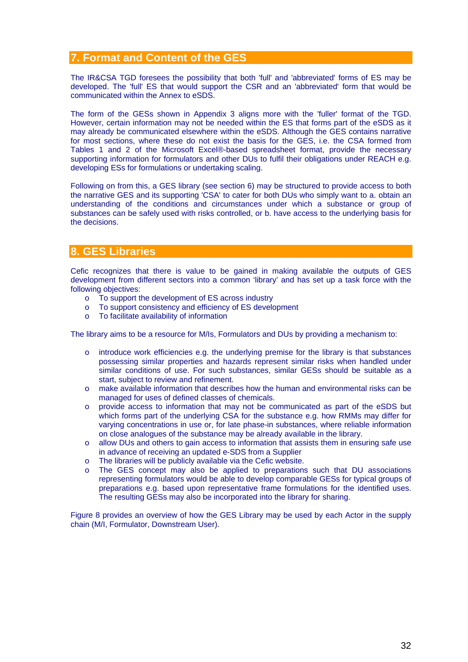# <span id="page-31-0"></span>**7. Format and Content of the GES**

The IR&CSA TGD foresees the possibility that both 'full' and 'abbreviated' forms of ES may be developed. The 'full' ES that would support the CSR and an 'abbreviated' form that would be communicated within the Annex to eSDS.

The form of the GESs shown in Appendix 3 aligns more with the 'fuller' format of the TGD. However, certain information may not be needed within the ES that forms part of the eSDS as it may already be communicated elsewhere within the eSDS. Although the GES contains narrative for most sections, where these do not exist the basis for the GES, i.e. the CSA formed from Tables 1 and 2 of the Microsoft Excel®-based spreadsheet format, provide the necessary supporting information for formulators and other DUs to fulfil their obligations under REACH e.g. developing ESs for formulations or undertaking scaling.

Following on from this, a GES library (see section 6) may be structured to provide access to both the narrative GES and its supporting 'CSA' to cater for both DUs who simply want to a. obtain an understanding of the conditions and circumstances under which a substance or group of substances can be safely used with risks controlled, or b. have access to the underlying basis for the decisions.

# **8. GES Libraries**

Cefic recognizes that there is value to be gained in making available the outputs of GES development from different sectors into a common 'library' and has set up a task force with the following objectives:

- o To support the development of ES across industry
- o To support consistency and efficiency of ES development
- o To facilitate availability of information

The library aims to be a resource for M/Is, Formulators and DUs by providing a mechanism to:

- $\circ$  introduce work efficiencies e.g. the underlying premise for the library is that substances possessing similar properties and hazards represent similar risks when handled under similar conditions of use. For such substances, similar GESs should be suitable as a start, subject to review and refinement.
- o make available information that describes how the human and environmental risks can be managed for uses of defined classes of chemicals.
- o provide access to information that may not be communicated as part of the eSDS but which forms part of the underlying CSA for the substance e.g. how RMMs may differ for varying concentrations in use or, for late phase-in substances, where reliable information on close analogues of the substance may be already available in the library.
- o allow DUs and others to gain access to information that assists them in ensuring safe use in advance of receiving an updated e-SDS from a Supplier
- o The libraries will be publicly available via the Cefic website.
- o The GES concept may also be applied to preparations such that DU associations representing formulators would be able to develop comparable GESs for typical groups of preparations e.g. based upon representative frame formulations for the identified uses. The resulting GESs may also be incorporated into the library for sharing.

Figure 8 provides an overview of how the GES Library may be used by each Actor in the supply chain (M/I, Formulator, Downstream User).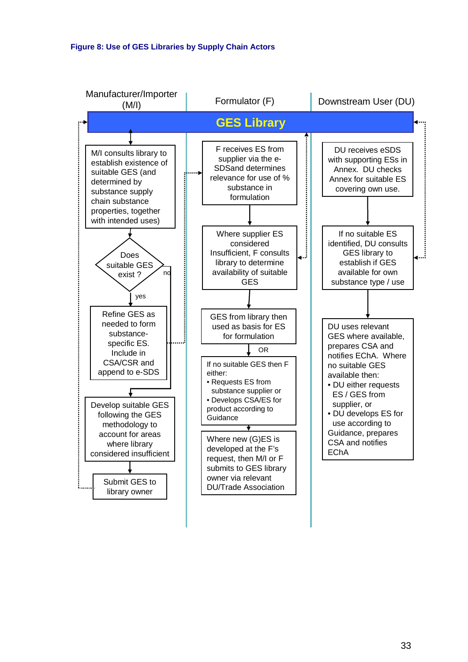<span id="page-32-0"></span>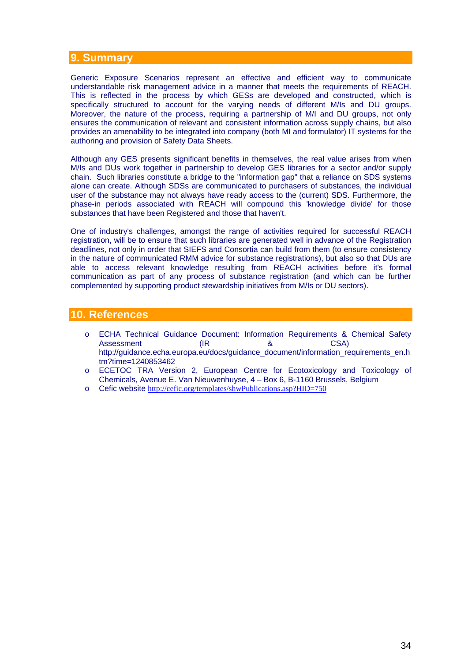# <span id="page-33-0"></span>**9. Summary**

Generic Exposure Scenarios represent an effective and efficient way to communicate understandable risk management advice in a manner that meets the requirements of REACH. This is reflected in the process by which GESs are developed and constructed, which is specifically structured to account for the varying needs of different M/Is and DU groups. Moreover, the nature of the process, requiring a partnership of M/I and DU groups, not only ensures the communication of relevant and consistent information across supply chains, but also provides an amenability to be integrated into company (both MI and formulator) IT systems for the authoring and provision of Safety Data Sheets.

Although any GES presents significant benefits in themselves, the real value arises from when M/Is and DUs work together in partnership to develop GES libraries for a sector and/or supply chain. Such libraries constitute a bridge to the "information gap" that a reliance on SDS systems alone can create. Although SDSs are communicated to purchasers of substances, the individual user of the substance may not always have ready access to the (current) SDS. Furthermore, the phase-in periods associated with REACH will compound this 'knowledge divide' for those substances that have been Registered and those that haven't.

One of industry's challenges, amongst the range of activities required for successful REACH registration, will be to ensure that such libraries are generated well in advance of the Registration deadlines, not only in order that SIEFS and Consortia can build from them (to ensure consistency in the nature of communicated RMM advice for substance registrations), but also so that DUs are able to access relevant knowledge resulting from REACH activities before it's formal communication as part of any process of substance registration (and which can be further complemented by supporting product stewardship initiatives from M/Is or DU sectors).

# **10. References**

- o ECHA Technical Guidance Document: Information Requirements & Chemical Safety Assessment (IR and Assessment (IR and Assessment control of  $\alpha$  and  $\alpha$  control of  $\alpha$  and  $\alpha$  control of  $\alpha$  and  $\alpha$  and  $\alpha$  and  $\alpha$  and  $\alpha$  and  $\alpha$  and  $\alpha$  and  $\alpha$  and  $\alpha$  and  $\alpha$  and  $\alpha$  and  $\alpha$  and  $\alpha$ http://guidance.echa.europa.eu/docs/guidance\_document/information\_requirements\_en.h tm?time=1240853462
- o ECETOC TRA Version 2, European Centre for Ecotoxicology and Toxicology of Chemicals, Avenue E. Van Nieuwenhuyse, 4 – Box 6, B-1160 Brussels, Belgium
- o Cefic website <http://cefic.org/templates/shwPublications.asp?HID=750>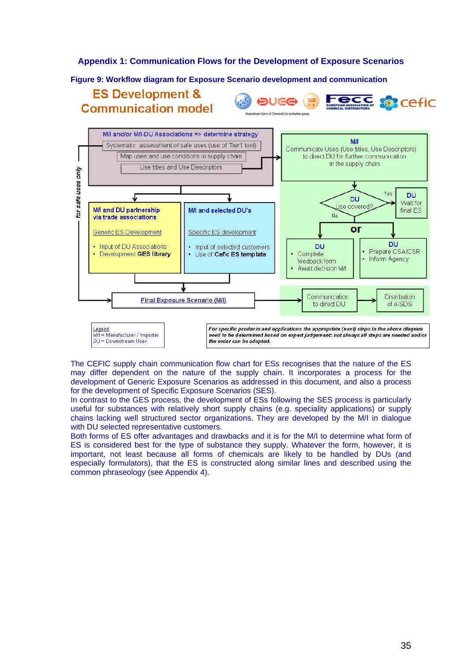### <span id="page-34-0"></span>**Appendix 1: Communication Flows for the Development of Exposure Scenarios**

#### **Figure 9: Workflow diagram for Exposure Scenario development and communication**

# **ES Development & Communication model**

**DUGG Cefic** 



The CEFIC supply chain communication flow chart for ESs recognises that the nature of the ES may differ dependent on the nature of the supply chain. It incorporates a process for the development of Generic Exposure Scenarios as addressed in this document, and also a process for the development of Specific Exposure Scenarios (SES).

In contrast to the GES process, the development of ESs following the SES process is particularly useful for substances with relatively short supply chains (e.g. speciality applications) or supply chains lacking well structured sector organizations. They are developed by the M/I in dialogue with DU selected representative customers.

Both forms of ES offer advantages and drawbacks and it is for the M/I to determine what form of ES is considered best for the type of substance they supply. Whatever the form, however, it is important, not least because all forms of chemicals are likely to be handled by DUs (and especially formulators), that the ES is constructed along similar lines and described using the common phraseology (see Appendix 4).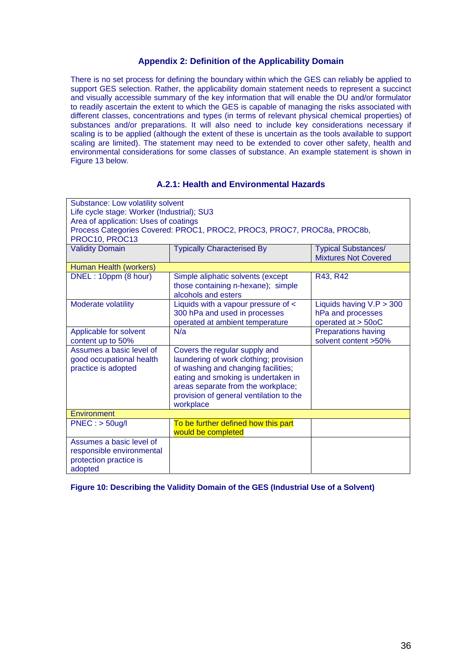## **Appendix 2: Definition of the Applicability Domain**

<span id="page-35-0"></span>There is no set process for defining the boundary within which the GES can reliably be applied to support GES selection. Rather, the applicability domain statement needs to represent a succinct and visually accessible summary of the key information that will enable the DU and/or formulator to readily ascertain the extent to which the GES is capable of managing the risks associated with different classes, concentrations and types (in terms of relevant physical chemical properties) of substances and/or preparations. It will also need to include key considerations necessary if scaling is to be applied (although the extent of these is uncertain as the tools available to support scaling are limited). The statement may need to be extended to cover other safety, health and environmental considerations for some classes of substance. An example statement is shown in Figure 13 below.

## **A.2.1: Health and Environmental Hazards**

| Substance: Low volatility solvent          |                                                                         |                                                           |  |  |  |
|--------------------------------------------|-------------------------------------------------------------------------|-----------------------------------------------------------|--|--|--|
| Life cycle stage: Worker (Industrial); SU3 |                                                                         |                                                           |  |  |  |
| Area of application: Uses of coatings      |                                                                         |                                                           |  |  |  |
|                                            | Process Categories Covered: PROC1, PROC2, PROC3, PROC7, PROC8a, PROC8b, |                                                           |  |  |  |
| PROC10, PROC13                             |                                                                         |                                                           |  |  |  |
| <b>Validity Domain</b>                     | <b>Typically Characterised By</b>                                       | <b>Typical Substances/</b><br><b>Mixtures Not Covered</b> |  |  |  |
| Human Health (workers)                     |                                                                         |                                                           |  |  |  |
| DNEL: 10ppm (8 hour)                       | Simple aliphatic solvents (except                                       | R43, R42                                                  |  |  |  |
|                                            | those containing n-hexane); simple                                      |                                                           |  |  |  |
|                                            | alcohols and esters                                                     |                                                           |  |  |  |
| Moderate volatility                        | Liquids with a vapour pressure of <                                     | Liquids having $V.P > 300$                                |  |  |  |
|                                            | 300 hPa and used in processes                                           | hPa and processes                                         |  |  |  |
|                                            | operated at ambient temperature                                         | operated at > 50oC                                        |  |  |  |
| Applicable for solvent                     | N/a                                                                     | <b>Preparations having</b>                                |  |  |  |
| content up to 50%                          |                                                                         | solvent content >50%                                      |  |  |  |
| Assumes a basic level of                   | Covers the regular supply and                                           |                                                           |  |  |  |
| good occupational health                   | laundering of work clothing; provision                                  |                                                           |  |  |  |
| practice is adopted                        | of washing and changing facilities;                                     |                                                           |  |  |  |
|                                            | eating and smoking is undertaken in                                     |                                                           |  |  |  |
|                                            | areas separate from the workplace;                                      |                                                           |  |  |  |
|                                            | provision of general ventilation to the                                 |                                                           |  |  |  |
|                                            | workplace                                                               |                                                           |  |  |  |
|                                            | Environment                                                             |                                                           |  |  |  |
| $PNEC:$ > $50ug/l$                         | To be further defined how this part                                     |                                                           |  |  |  |
|                                            | would be completed                                                      |                                                           |  |  |  |
| Assumes a basic level of                   |                                                                         |                                                           |  |  |  |
| responsible environmental                  |                                                                         |                                                           |  |  |  |
| protection practice is                     |                                                                         |                                                           |  |  |  |
| adopted                                    |                                                                         |                                                           |  |  |  |

**Figure 10: Describing the Validity Domain of the GES (Industrial Use of a Solvent)**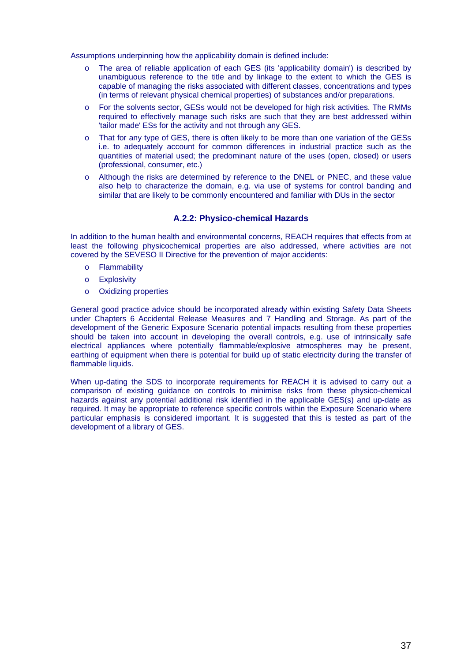<span id="page-36-0"></span>Assumptions underpinning how the applicability domain is defined include:

- o The area of reliable application of each GES (its 'applicability domain') is described by unambiguous reference to the title and by linkage to the extent to which the GES is capable of managing the risks associated with different classes, concentrations and types (in terms of relevant physical chemical properties) of substances and/or preparations.
- o For the solvents sector, GESs would not be developed for high risk activities. The RMMs required to effectively manage such risks are such that they are best addressed within 'tailor made' ESs for the activity and not through any GES.
- o That for any type of GES, there is often likely to be more than one variation of the GESs i.e. to adequately account for common differences in industrial practice such as the quantities of material used; the predominant nature of the uses (open, closed) or users (professional, consumer, etc.)
- o Although the risks are determined by reference to the DNEL or PNEC, and these value also help to characterize the domain, e.g. via use of systems for control banding and similar that are likely to be commonly encountered and familiar with DUs in the sector

### **A.2.2: Physico-chemical Hazards**

In addition to the human health and environmental concerns, REACH requires that effects from at least the following physicochemical properties are also addressed, where activities are not covered by the SEVESO II Directive for the prevention of major accidents:

- o Flammability
- o Explosivity
- o Oxidizing properties

General good practice advice should be incorporated already within existing Safety Data Sheets under Chapters 6 Accidental Release Measures and 7 Handling and Storage. As part of the development of the Generic Exposure Scenario potential impacts resulting from these properties should be taken into account in developing the overall controls, e.g. use of intrinsically safe electrical appliances where potentially flammable/explosive atmospheres may be present, earthing of equipment when there is potential for build up of static electricity during the transfer of flammable liquids.

When up-dating the SDS to incorporate requirements for REACH it is advised to carry out a comparison of existing guidance on controls to minimise risks from these physico-chemical hazards against any potential additional risk identified in the applicable GES(s) and up-date as required. It may be appropriate to reference specific controls within the Exposure Scenario where particular emphasis is considered important. It is suggested that this is tested as part of the development of a library of GES.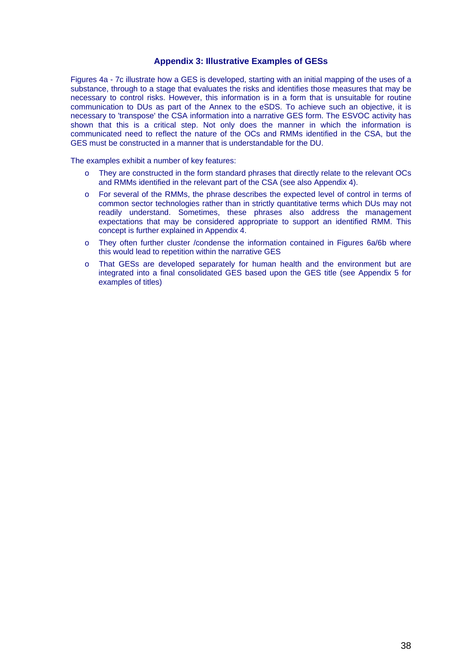### **Appendix 3: Illustrative Examples of GESs**

<span id="page-37-0"></span>Figures 4a - 7c illustrate how a GES is developed, starting with an initial mapping of the uses of a substance, through to a stage that evaluates the risks and identifies those measures that may be necessary to control risks. However, this information is in a form that is unsuitable for routine communication to DUs as part of the Annex to the eSDS. To achieve such an objective, it is necessary to 'transpose' the CSA information into a narrative GES form. The ESVOC activity has shown that this is a critical step. Not only does the manner in which the information is communicated need to reflect the nature of the OCs and RMMs identified in the CSA, but the GES must be constructed in a manner that is understandable for the DU.

The examples exhibit a number of key features:

- o They are constructed in the form standard phrases that directly relate to the relevant OCs and RMMs identified in the relevant part of the CSA (see also Appendix 4).
- o For several of the RMMs, the phrase describes the expected level of control in terms of common sector technologies rather than in strictly quantitative terms which DUs may not readily understand. Sometimes, these phrases also address the management expectations that may be considered appropriate to support an identified RMM. This concept is further explained in Appendix 4.
- o They often further cluster /condense the information contained in Figures 6a/6b where this would lead to repetition within the narrative GES
- o That GESs are developed separately for human health and the environment but are integrated into a final consolidated GES based upon the GES title (see Appendix 5 for examples of titles)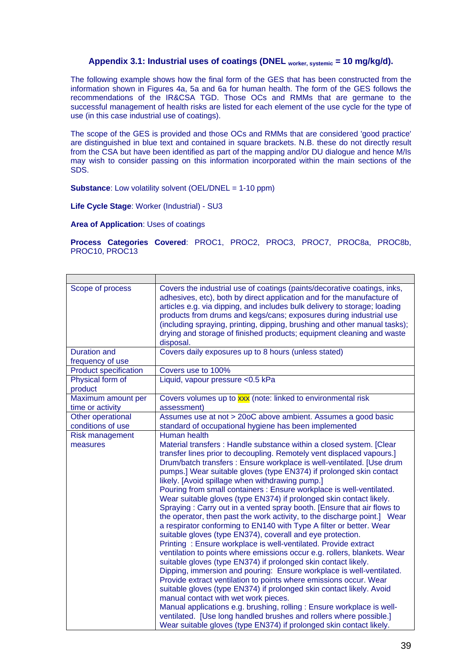# Appendix 3.1: Industrial uses of coatings (DNEL <sub>worker, systemic</sub> = 10 mg/kg/d).

<span id="page-38-0"></span>The following example shows how the final form of the GES that has been constructed from the information shown in Figures 4a, 5a and 6a for human health. The form of the GES follows the recommendations of the IR&CSA TGD. Those OCs and RMMs that are germane to the successful management of health risks are listed for each element of the use cycle for the type of use (in this case industrial use of coatings).

The scope of the GES is provided and those OCs and RMMs that are considered 'good practice' are distinguished in blue text and contained in square brackets. N.B. these do not directly result from the CSA but have been identified as part of the mapping and/or DU dialogue and hence M/Is may wish to consider passing on this information incorporated within the main sections of the SDS.

**Substance:** Low volatility solvent (OEL/DNEL = 1-10 ppm)

**Life Cycle Stage**: Worker (Industrial) - SU3

**Area of Application**: Uses of coatings

**Process Categories Covered**: PROC1, PROC2, PROC3, PROC7, PROC8a, PROC8b, PROC10, PROC13

| Scope of process                        | Covers the industrial use of coatings (paints/decorative coatings, inks,<br>adhesives, etc), both by direct application and for the manufacture of<br>articles e.g. via dipping, and includes bulk delivery to storage; loading<br>products from drums and kegs/cans; exposures during industrial use<br>(including spraying, printing, dipping, brushing and other manual tasks);<br>drying and storage of finished products; equipment cleaning and waste<br>disposal.                                                                                                                                                                                                                                                                                                                                                                                                                                                                                                                                                                                                                                                                                                                                                                                                                                                                                                                                                                                                                                      |
|-----------------------------------------|---------------------------------------------------------------------------------------------------------------------------------------------------------------------------------------------------------------------------------------------------------------------------------------------------------------------------------------------------------------------------------------------------------------------------------------------------------------------------------------------------------------------------------------------------------------------------------------------------------------------------------------------------------------------------------------------------------------------------------------------------------------------------------------------------------------------------------------------------------------------------------------------------------------------------------------------------------------------------------------------------------------------------------------------------------------------------------------------------------------------------------------------------------------------------------------------------------------------------------------------------------------------------------------------------------------------------------------------------------------------------------------------------------------------------------------------------------------------------------------------------------------|
| <b>Duration and</b><br>frequency of use | Covers daily exposures up to 8 hours (unless stated)                                                                                                                                                                                                                                                                                                                                                                                                                                                                                                                                                                                                                                                                                                                                                                                                                                                                                                                                                                                                                                                                                                                                                                                                                                                                                                                                                                                                                                                          |
| <b>Product specification</b>            | Covers use to 100%                                                                                                                                                                                                                                                                                                                                                                                                                                                                                                                                                                                                                                                                                                                                                                                                                                                                                                                                                                                                                                                                                                                                                                                                                                                                                                                                                                                                                                                                                            |
| Physical form of<br>product             | Liquid, vapour pressure < 0.5 kPa                                                                                                                                                                                                                                                                                                                                                                                                                                                                                                                                                                                                                                                                                                                                                                                                                                                                                                                                                                                                                                                                                                                                                                                                                                                                                                                                                                                                                                                                             |
| Maximum amount per<br>time or activity  | Covers volumes up to xxx (note: linked to environmental risk<br>assessment)                                                                                                                                                                                                                                                                                                                                                                                                                                                                                                                                                                                                                                                                                                                                                                                                                                                                                                                                                                                                                                                                                                                                                                                                                                                                                                                                                                                                                                   |
| Other operational<br>conditions of use  | Assumes use at not > 20oC above ambient. Assumes a good basic<br>standard of occupational hygiene has been implemented                                                                                                                                                                                                                                                                                                                                                                                                                                                                                                                                                                                                                                                                                                                                                                                                                                                                                                                                                                                                                                                                                                                                                                                                                                                                                                                                                                                        |
| <b>Risk management</b><br>measures      | Human health<br>Material transfers: Handle substance within a closed system. [Clear<br>transfer lines prior to decoupling. Remotely vent displaced vapours.]<br>Drum/batch transfers : Ensure workplace is well-ventilated. [Use drum<br>pumps.] Wear suitable gloves (type EN374) if prolonged skin contact<br>likely. [Avoid spillage when withdrawing pump.]<br>Pouring from small containers : Ensure workplace is well-ventilated.<br>Wear suitable gloves (type EN374) if prolonged skin contact likely.<br>Spraying: Carry out in a vented spray booth. [Ensure that air flows to<br>the operator, then past the work activity, to the discharge point.] Wear<br>a respirator conforming to EN140 with Type A filter or better. Wear<br>suitable gloves (type EN374), coverall and eye protection.<br>Printing: Ensure workplace is well-ventilated. Provide extract<br>ventilation to points where emissions occur e.g. rollers, blankets. Wear<br>suitable gloves (type EN374) if prolonged skin contact likely.<br>Dipping, immersion and pouring: Ensure workplace is well-ventilated.<br>Provide extract ventilation to points where emissions occur. Wear<br>suitable gloves (type EN374) if prolonged skin contact likely. Avoid<br>manual contact with wet work pieces.<br>Manual applications e.g. brushing, rolling : Ensure workplace is well-<br>ventilated. [Use long handled brushes and rollers where possible.]<br>Wear suitable gloves (type EN374) if prolonged skin contact likely. |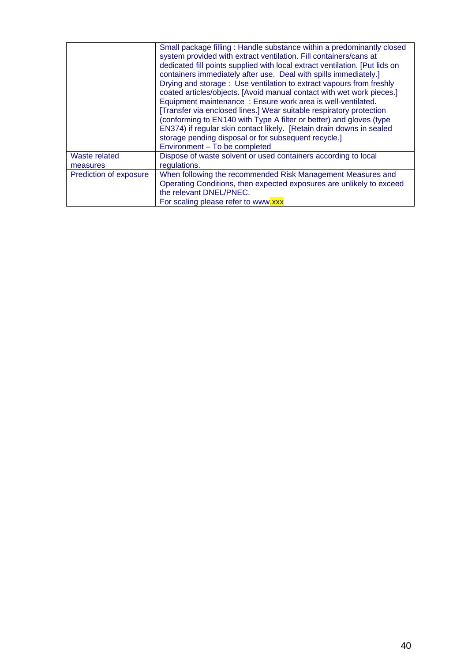|                           | Small package filling: Handle substance within a predominantly closed<br>system provided with extract ventilation. Fill containers/cans at<br>dedicated fill points supplied with local extract ventilation. [Put lids on<br>containers immediately after use. Deal with spills immediately.]<br>Drying and storage: Use ventilation to extract vapours from freshly<br>coated articles/objects. [Avoid manual contact with wet work pieces.]<br>Equipment maintenance: Ensure work area is well-ventilated.<br>[Transfer via enclosed lines.] Wear suitable respiratory protection<br>(conforming to EN140 with Type A filter or better) and gloves (type<br>EN374) if regular skin contact likely. [Retain drain downs in sealed<br>storage pending disposal or for subsequent recycle.]<br>Environment - To be completed |
|---------------------------|-----------------------------------------------------------------------------------------------------------------------------------------------------------------------------------------------------------------------------------------------------------------------------------------------------------------------------------------------------------------------------------------------------------------------------------------------------------------------------------------------------------------------------------------------------------------------------------------------------------------------------------------------------------------------------------------------------------------------------------------------------------------------------------------------------------------------------|
| Waste related<br>measures | Dispose of waste solvent or used containers according to local<br>regulations.                                                                                                                                                                                                                                                                                                                                                                                                                                                                                                                                                                                                                                                                                                                                              |
| Prediction of exposure    | When following the recommended Risk Management Measures and<br>Operating Conditions, then expected exposures are unlikely to exceed<br>the relevant DNEL/PNEC.<br>For scaling please refer to www.xxx                                                                                                                                                                                                                                                                                                                                                                                                                                                                                                                                                                                                                       |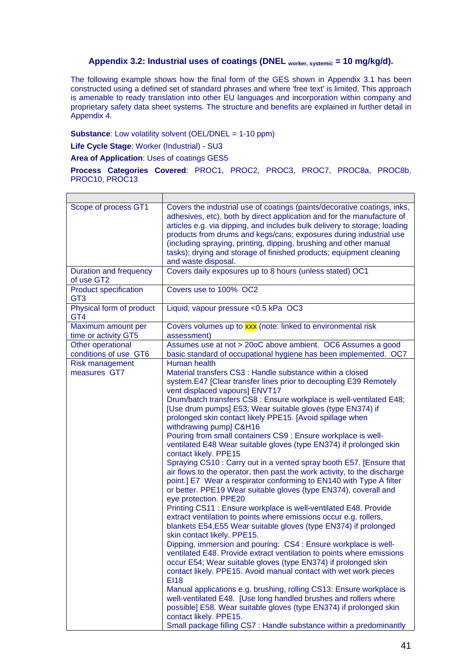# Appendix 3.2: Industrial uses of coatings (DNEL <sub>worker, systemic</sub> = 10 mg/kg/d).

<span id="page-40-0"></span>The following example shows how the final form of the GES shown in Appendix 3.1 has been constructed using a defined set of standard phrases and where 'free text' is limited. This approach is amenable to ready translation into other EU languages and incorporation within company and proprietary safety data sheet systems. The structure and benefits are explained in further detail in Appendix 4.

**Substance**: Low volatility solvent (OEL/DNEL = 1-10 ppm)

**Life Cycle Stage**: Worker (Industrial) - SU3

**Area of Application**: Uses of coatings GES5

**Process Categories Covered**: PROC1, PROC2, PROC3, PROC7, PROC8a, PROC8b, PROC10, PROC13

| Scope of process GT1                            | Covers the industrial use of coatings (paints/decorative coatings, inks,<br>adhesives, etc), both by direct application and for the manufacture of<br>articles e.g. via dipping, and includes bulk delivery to storage; loading<br>products from drums and kegs/cans; exposures during industrial use<br>(including spraying, printing, dipping, brushing and other manual<br>tasks); drying and storage of finished products; equipment cleaning<br>and waste disposal.                                                                                                                                                                                                                                                                                                                                                                                                                                                                                                                                                                                                                                                                                                                                                                                                                                                                                                                                                                                                                                                                                                                                                                                                                                                                                             |
|-------------------------------------------------|----------------------------------------------------------------------------------------------------------------------------------------------------------------------------------------------------------------------------------------------------------------------------------------------------------------------------------------------------------------------------------------------------------------------------------------------------------------------------------------------------------------------------------------------------------------------------------------------------------------------------------------------------------------------------------------------------------------------------------------------------------------------------------------------------------------------------------------------------------------------------------------------------------------------------------------------------------------------------------------------------------------------------------------------------------------------------------------------------------------------------------------------------------------------------------------------------------------------------------------------------------------------------------------------------------------------------------------------------------------------------------------------------------------------------------------------------------------------------------------------------------------------------------------------------------------------------------------------------------------------------------------------------------------------------------------------------------------------------------------------------------------------|
| Duration and frequency<br>of use GT2            | Covers daily exposures up to 8 hours (unless stated) OC1                                                                                                                                                                                                                                                                                                                                                                                                                                                                                                                                                                                                                                                                                                                                                                                                                                                                                                                                                                                                                                                                                                                                                                                                                                                                                                                                                                                                                                                                                                                                                                                                                                                                                                             |
| <b>Product specification</b><br>GT <sub>3</sub> | Covers use to 100% OC2                                                                                                                                                                                                                                                                                                                                                                                                                                                                                                                                                                                                                                                                                                                                                                                                                                                                                                                                                                                                                                                                                                                                                                                                                                                                                                                                                                                                                                                                                                                                                                                                                                                                                                                                               |
| Physical form of product<br>GT4                 | Liquid, vapour pressure < 0.5 kPa OC3                                                                                                                                                                                                                                                                                                                                                                                                                                                                                                                                                                                                                                                                                                                                                                                                                                                                                                                                                                                                                                                                                                                                                                                                                                                                                                                                                                                                                                                                                                                                                                                                                                                                                                                                |
| Maximum amount per<br>time or activity GT5      | Covers volumes up to xxx (note: linked to environmental risk<br>assessment)                                                                                                                                                                                                                                                                                                                                                                                                                                                                                                                                                                                                                                                                                                                                                                                                                                                                                                                                                                                                                                                                                                                                                                                                                                                                                                                                                                                                                                                                                                                                                                                                                                                                                          |
| Other operational<br>conditions of use GT6      | Assumes use at not > 20oC above ambient. OC6 Assumes a good<br>basic standard of occupational hygiene has been implemented. OC7                                                                                                                                                                                                                                                                                                                                                                                                                                                                                                                                                                                                                                                                                                                                                                                                                                                                                                                                                                                                                                                                                                                                                                                                                                                                                                                                                                                                                                                                                                                                                                                                                                      |
| <b>Risk management</b><br>measures GT7          | Human health<br>Material transfers CS3 : Handle substance within a closed<br>system.E47 [Clear transfer lines prior to decoupling E39 Remotely<br>vent displaced vapours] ENVT17<br>Drum/batch transfers CS8 : Ensure workplace is well-ventilated E48;<br>[Use drum pumps] E53; Wear suitable gloves (type EN374) if<br>prolonged skin contact likely PPE15. [Avoid spillage when<br>withdrawing pump] C&H16<br>Pouring from small containers CS9 : Ensure workplace is well-<br>ventilated E48 Wear suitable gloves (type EN374) if prolonged skin<br>contact likely. PPE15<br>Spraying CS10 : Carry out in a vented spray booth E57. [Ensure that<br>air flows to the operator, then past the work activity, to the discharge<br>point.] E7 Wear a respirator conforming to EN140 with Type A filter<br>or better. PPE19 Wear suitable gloves (type EN374), coverall and<br>eye protection. PPE20<br>Printing CS11 : Ensure workplace is well-ventilated E48. Provide<br>extract ventilation to points where emissions occur e.g. rollers,<br>blankets E54, E55 Wear suitable gloves (type EN374) if prolonged<br>skin contact likely. PPE15.<br>Dipping, immersion and pouring: CS4 : Ensure workplace is well-<br>ventilated E48. Provide extract ventilation to points where emissions<br>occur E54; Wear suitable gloves (type EN374) if prolonged skin<br>contact likely. PPE15. Avoid manual contact with wet work pieces<br><b>EI18</b><br>Manual applications e.g. brushing, rolling CS13: Ensure workplace is<br>well-ventilated E48. [Use long handled brushes and rollers where<br>possible] E58. Wear suitable gloves (type EN374) if prolonged skin<br>contact likely. PPE15.<br>Small package filling CS7 : Handle substance within a predominantly |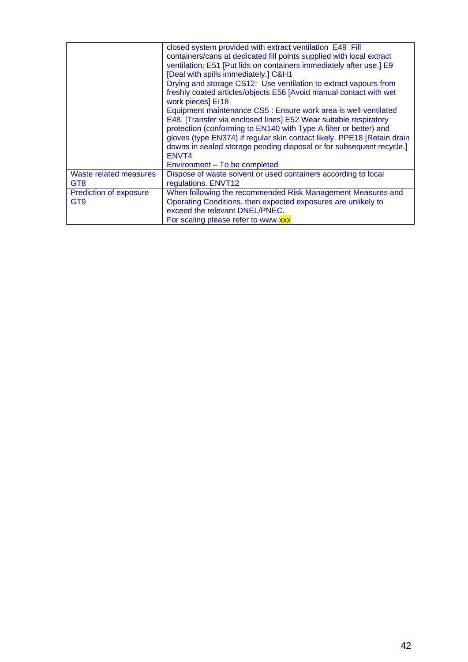|                        | closed system provided with extract ventilation E49 Fill<br>containers/cans at dedicated fill points supplied with local extract<br>ventilation; E51 [Put lids on containers immediately after use.] E9<br>[Deal with spills immediately.] C&H1<br>Drying and storage CS12: Use ventilation to extract vapours from<br>freshly coated articles/objects E56 [Avoid manual contact with wet<br>work pieces] EI18<br>Equipment maintenance CS5 : Ensure work area is well-ventilated<br>E48. [Transfer via enclosed lines] E52 Wear suitable respiratory<br>protection (conforming to EN140 with Type A filter or better) and<br>gloves (type EN374) if regular skin contact likely. PPE18 [Retain drain<br>downs in sealed storage pending disposal or for subsequent recycle.]<br>ENVT4<br>Environment - To be completed |
|------------------------|-------------------------------------------------------------------------------------------------------------------------------------------------------------------------------------------------------------------------------------------------------------------------------------------------------------------------------------------------------------------------------------------------------------------------------------------------------------------------------------------------------------------------------------------------------------------------------------------------------------------------------------------------------------------------------------------------------------------------------------------------------------------------------------------------------------------------|
| Waste related measures | Dispose of waste solvent or used containers according to local                                                                                                                                                                                                                                                                                                                                                                                                                                                                                                                                                                                                                                                                                                                                                          |
| GT <sub>8</sub>        | regulations. ENVT12                                                                                                                                                                                                                                                                                                                                                                                                                                                                                                                                                                                                                                                                                                                                                                                                     |
| Prediction of exposure | When following the recommended Risk Management Measures and                                                                                                                                                                                                                                                                                                                                                                                                                                                                                                                                                                                                                                                                                                                                                             |
| GT <sub>9</sub>        | Operating Conditions, then expected exposures are unlikely to                                                                                                                                                                                                                                                                                                                                                                                                                                                                                                                                                                                                                                                                                                                                                           |
|                        | exceed the relevant DNEL/PNEC.                                                                                                                                                                                                                                                                                                                                                                                                                                                                                                                                                                                                                                                                                                                                                                                          |
|                        | For scaling please refer to www.xxx                                                                                                                                                                                                                                                                                                                                                                                                                                                                                                                                                                                                                                                                                                                                                                                     |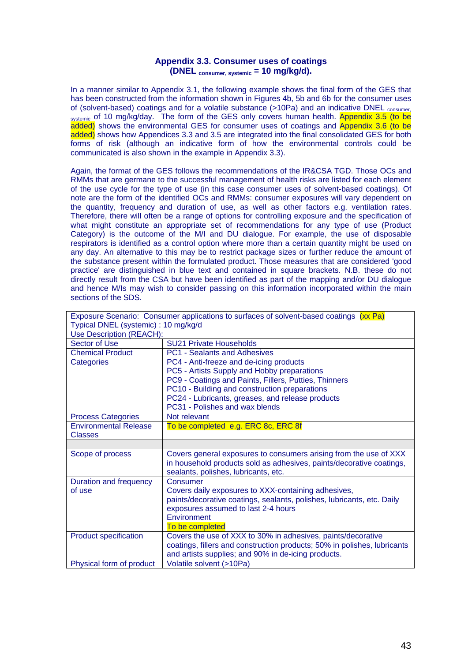## **Appendix 3.3. Consumer uses of coatings (DNEL consumer, systemic = 10 mg/kg/d).**

<span id="page-42-0"></span>In a manner similar to Appendix 3.1, the following example shows the final form of the GES that has been constructed from the information shown in Figures 4b, 5b and 6b for the consumer uses of (solvent-based) coatings and for a volatile substance (>10Pa) and an indicative DNEL consumer systemic of 10 mg/kg/day. The form of the GES only covers human health. Appendix 3.5 (to be added) shows the environmental GES for consumer uses of coatings and Appendix 3.6 (to be added) shows how Appendices 3.3 and 3.5 are integrated into the final consolidated GES for both forms of risk (although an indicative form of how the environmental controls could be communicated is also shown in the example in Appendix 3.3).

Again, the format of the GES follows the recommendations of the IR&CSA TGD. Those OCs and RMMs that are germane to the successful management of health risks are listed for each element of the use cycle for the type of use (in this case consumer uses of solvent-based coatings). Of note are the form of the identified OCs and RMMs: consumer exposures will vary dependent on the quantity, frequency and duration of use, as well as other factors e.g. ventilation rates. Therefore, there will often be a range of options for controlling exposure and the specification of what might constitute an appropriate set of recommendations for any type of use (Product Category) is the outcome of the M/I and DU dialogue. For example, the use of disposable respirators is identified as a control option where more than a certain quantity might be used on any day. An alternative to this may be to restrict package sizes or further reduce the amount of the substance present within the formulated product. Those measures that are considered 'good practice' are distinguished in blue text and contained in square brackets. N.B. these do not directly result from the CSA but have been identified as part of the mapping and/or DU dialogue and hence M/Is may wish to consider passing on this information incorporated within the main sections of the SDS.

| Exposure Scenario: Consumer applications to surfaces of solvent-based coatings (xx Pa) |                                                                                 |  |  |  |
|----------------------------------------------------------------------------------------|---------------------------------------------------------------------------------|--|--|--|
| Typical DNEL (systemic): 10 mg/kg/d                                                    |                                                                                 |  |  |  |
| Use Description (REACH):                                                               |                                                                                 |  |  |  |
| Sector of Use                                                                          | <b>SU21 Private Households</b>                                                  |  |  |  |
| <b>Chemical Product</b>                                                                | <b>PC1 - Sealants and Adhesives</b>                                             |  |  |  |
| Categories                                                                             | PC4 - Anti-freeze and de-icing products                                         |  |  |  |
|                                                                                        | PC5 - Artists Supply and Hobby preparations                                     |  |  |  |
|                                                                                        | PC9 - Coatings and Paints, Fillers, Putties, Thinners                           |  |  |  |
|                                                                                        | PC10 - Building and construction preparations                                   |  |  |  |
|                                                                                        | PC24 - Lubricants, greases, and release products                                |  |  |  |
|                                                                                        | PC31 - Polishes and wax blends                                                  |  |  |  |
| <b>Process Categories</b>                                                              | Not relevant                                                                    |  |  |  |
| <b>Environmental Release</b>                                                           | To be completed e.g. ERC 8c, ERC 8f                                             |  |  |  |
| <b>Classes</b>                                                                         |                                                                                 |  |  |  |
|                                                                                        |                                                                                 |  |  |  |
|                                                                                        |                                                                                 |  |  |  |
| Scope of process                                                                       | Covers general exposures to consumers arising from the use of XXX               |  |  |  |
|                                                                                        | in household products sold as adhesives, paints/decorative coatings,            |  |  |  |
|                                                                                        | sealants, polishes, lubricants, etc.                                            |  |  |  |
| Duration and frequency                                                                 | Consumer                                                                        |  |  |  |
| of use                                                                                 | Covers daily exposures to XXX-containing adhesives,                             |  |  |  |
|                                                                                        | paints/decorative coatings, sealants, polishes, lubricants, etc. Daily          |  |  |  |
|                                                                                        | exposures assumed to last 2-4 hours                                             |  |  |  |
|                                                                                        | Environment                                                                     |  |  |  |
|                                                                                        | To be completed                                                                 |  |  |  |
| <b>Product specification</b>                                                           | Covers the use of XXX to 30% in adhesives, paints/decorative                    |  |  |  |
|                                                                                        | coatings, fillers and construction products; 50% in polishes, lubricants        |  |  |  |
|                                                                                        | and artists supplies; and 90% in de-icing products.<br>Volatile solvent (>10Pa) |  |  |  |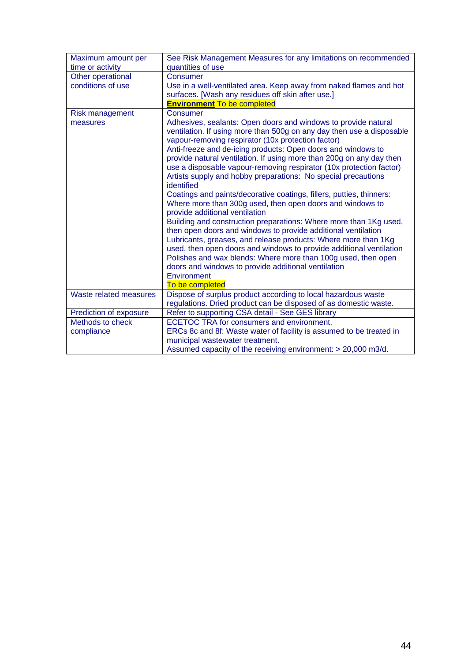| Maximum amount per     | See Risk Management Measures for any limitations on recommended                             |
|------------------------|---------------------------------------------------------------------------------------------|
| time or activity       | quantities of use                                                                           |
| Other operational      | Consumer                                                                                    |
| conditions of use      | Use in a well-ventilated area. Keep away from naked flames and hot                          |
|                        | surfaces. [Wash any residues off skin after use.]                                           |
|                        | <b>Environment To be completed</b>                                                          |
| <b>Risk management</b> | Consumer                                                                                    |
| measures               | Adhesives, sealants: Open doors and windows to provide natural                              |
|                        | ventilation. If using more than 500g on any day then use a disposable                       |
|                        | vapour-removing respirator (10x protection factor)                                          |
|                        | Anti-freeze and de-icing products: Open doors and windows to                                |
|                        | provide natural ventilation. If using more than 200g on any day then                        |
|                        | use a disposable vapour-removing respirator (10x protection factor)                         |
|                        | Artists supply and hobby preparations: No special precautions                               |
|                        | identified                                                                                  |
|                        | Coatings and paints/decorative coatings, fillers, putties, thinners:                        |
|                        |                                                                                             |
|                        | Where more than 300g used, then open doors and windows to<br>provide additional ventilation |
|                        | Building and construction preparations: Where more than 1Kg used,                           |
|                        | then open doors and windows to provide additional ventilation                               |
|                        | Lubricants, greases, and release products: Where more than 1Kg                              |
|                        | used, then open doors and windows to provide additional ventilation                         |
|                        |                                                                                             |
|                        | Polishes and wax blends: Where more than 100g used, then open                               |
|                        | doors and windows to provide additional ventilation                                         |
|                        | Environment                                                                                 |
|                        | To be completed                                                                             |
| Waste related measures | Dispose of surplus product according to local hazardous waste                               |
|                        | regulations. Dried product can be disposed of as domestic waste.                            |
| Prediction of exposure | Refer to supporting CSA detail - See GES library                                            |
| Methods to check       | ECETOC TRA for consumers and environment.                                                   |
| compliance             | ERCs 8c and 8f: Waste water of facility is assumed to be treated in                         |
|                        | municipal wastewater treatment.                                                             |
|                        | Assumed capacity of the receiving environment: > 20,000 m3/d.                               |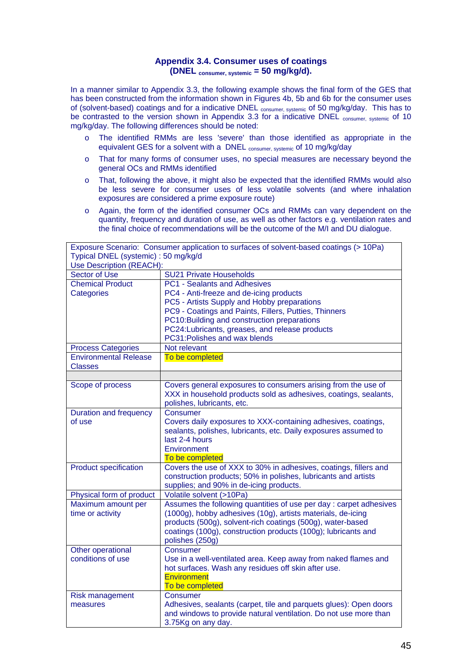# **Appendix 3.4. Consumer uses of coatings (DNEL consumer, systemic = 50 mg/kg/d).**

<span id="page-44-0"></span>In a manner similar to Appendix 3.3, the following example shows the final form of the GES that has been constructed from the information shown in Figures 4b, 5b and 6b for the consumer uses of (solvent-based) coatings and for a indicative DNEL consumer, systemic of 50 mg/kg/day. This has to be contrasted to the version shown in Appendix 3.3 for a indicative DNEL consumer systemic of 10 mg/kg/day. The following differences should be noted:

- o The identified RMMs are less 'severe' than those identified as appropriate in the equivalent GES for a solvent with a DNEL consumer, systemic of 10 mg/kg/day
- o That for many forms of consumer uses, no special measures are necessary beyond the general OCs and RMMs identified
- o That, following the above, it might also be expected that the identified RMMs would also be less severe for consumer uses of less volatile solvents (and where inhalation exposures are considered a prime exposure route)
- o Again, the form of the identified consumer OCs and RMMs can vary dependent on the quantity, frequency and duration of use, as well as other factors e.g. ventilation rates and the final choice of recommendations will be the outcome of the M/I and DU dialogue.

| Exposure Scenario: Consumer application to surfaces of solvent-based coatings (> 10Pa) |                                                                    |  |  |  |
|----------------------------------------------------------------------------------------|--------------------------------------------------------------------|--|--|--|
| Typical DNEL (systemic): 50 mg/kg/d                                                    |                                                                    |  |  |  |
| Use Description (REACH):                                                               |                                                                    |  |  |  |
| <b>Sector of Use</b>                                                                   | <b>SU21 Private Households</b>                                     |  |  |  |
| <b>Chemical Product</b>                                                                | <b>PC1 - Sealants and Adhesives</b>                                |  |  |  |
| Categories                                                                             | PC4 - Anti-freeze and de-icing products                            |  |  |  |
|                                                                                        | PC5 - Artists Supply and Hobby preparations                        |  |  |  |
|                                                                                        | PC9 - Coatings and Paints, Fillers, Putties, Thinners              |  |  |  |
|                                                                                        | PC10: Building and construction preparations                       |  |  |  |
|                                                                                        | PC24:Lubricants, greases, and release products                     |  |  |  |
|                                                                                        | PC31: Polishes and wax blends                                      |  |  |  |
| <b>Process Categories</b>                                                              | Not relevant                                                       |  |  |  |
| <b>Environmental Release</b>                                                           | To be completed                                                    |  |  |  |
| <b>Classes</b>                                                                         |                                                                    |  |  |  |
|                                                                                        |                                                                    |  |  |  |
| Scope of process                                                                       | Covers general exposures to consumers arising from the use of      |  |  |  |
|                                                                                        | XXX in household products sold as adhesives, coatings, sealants,   |  |  |  |
|                                                                                        | polishes, lubricants, etc.                                         |  |  |  |
| <b>Duration and frequency</b>                                                          | Consumer                                                           |  |  |  |
| of use                                                                                 | Covers daily exposures to XXX-containing adhesives, coatings,      |  |  |  |
|                                                                                        | sealants, polishes, lubricants, etc. Daily exposures assumed to    |  |  |  |
|                                                                                        | last 2-4 hours                                                     |  |  |  |
|                                                                                        | Environment                                                        |  |  |  |
|                                                                                        | To be completed                                                    |  |  |  |
| <b>Product specification</b>                                                           | Covers the use of XXX to 30% in adhesives, coatings, fillers and   |  |  |  |
|                                                                                        | construction products; 50% in polishes, lubricants and artists     |  |  |  |
|                                                                                        | supplies; and 90% in de-icing products.                            |  |  |  |
| Physical form of product                                                               | Volatile solvent (>10Pa)                                           |  |  |  |
| Maximum amount per                                                                     | Assumes the following quantities of use per day : carpet adhesives |  |  |  |
| time or activity                                                                       | (1000g), hobby adhesives (10g), artists materials, de-icing        |  |  |  |
|                                                                                        | products (500g), solvent-rich coatings (500g), water-based         |  |  |  |
|                                                                                        | coatings (100g), construction products (100g); lubricants and      |  |  |  |
|                                                                                        | polishes (250g)                                                    |  |  |  |
| Other operational                                                                      | Consumer                                                           |  |  |  |
| conditions of use                                                                      | Use in a well-ventilated area. Keep away from naked flames and     |  |  |  |
|                                                                                        | hot surfaces. Wash any residues off skin after use.                |  |  |  |
|                                                                                        | <b>Environment</b>                                                 |  |  |  |
|                                                                                        | To be completed                                                    |  |  |  |
| <b>Risk management</b>                                                                 | Consumer                                                           |  |  |  |
| measures                                                                               | Adhesives, sealants (carpet, tile and parquets glues): Open doors  |  |  |  |
|                                                                                        | and windows to provide natural ventilation. Do not use more than   |  |  |  |
|                                                                                        | 3.75Kg on any day.                                                 |  |  |  |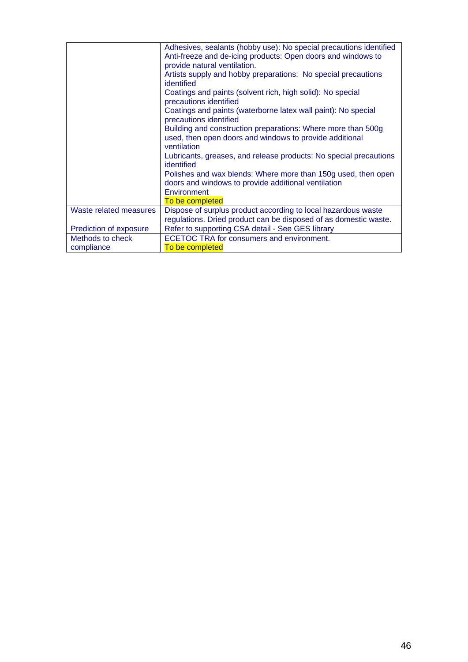|                                | Adhesives, sealants (hobby use): No special precautions identified<br>Anti-freeze and de-icing products: Open doors and windows to<br>provide natural ventilation.<br>Artists supply and hobby preparations: No special precautions<br>identified<br>Coatings and paints (solvent rich, high solid): No special<br>precautions identified<br>Coatings and paints (waterborne latex wall paint): No special<br>precautions identified<br>Building and construction preparations: Where more than 500g<br>used, then open doors and windows to provide additional<br>ventilation<br>Lubricants, greases, and release products: No special precautions<br>identified<br>Polishes and wax blends: Where more than 150g used, then open<br>doors and windows to provide additional ventilation<br>Environment<br>To be completed |
|--------------------------------|-----------------------------------------------------------------------------------------------------------------------------------------------------------------------------------------------------------------------------------------------------------------------------------------------------------------------------------------------------------------------------------------------------------------------------------------------------------------------------------------------------------------------------------------------------------------------------------------------------------------------------------------------------------------------------------------------------------------------------------------------------------------------------------------------------------------------------|
| Waste related measures         | Dispose of surplus product according to local hazardous waste<br>regulations. Dried product can be disposed of as domestic waste.                                                                                                                                                                                                                                                                                                                                                                                                                                                                                                                                                                                                                                                                                           |
| Prediction of exposure         | Refer to supporting CSA detail - See GES library                                                                                                                                                                                                                                                                                                                                                                                                                                                                                                                                                                                                                                                                                                                                                                            |
| Methods to check<br>compliance | ECETOC TRA for consumers and environment.<br>To be completed                                                                                                                                                                                                                                                                                                                                                                                                                                                                                                                                                                                                                                                                                                                                                                |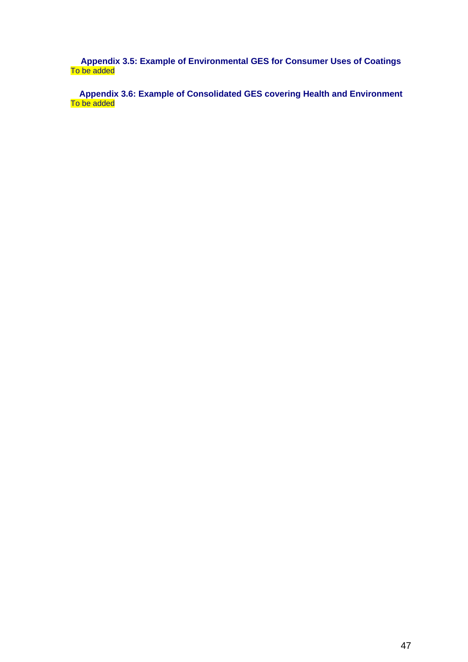<span id="page-46-0"></span>**Appendix 3.5: Example of Environmental GES for Consumer Uses of Coatings**  To be added

**Appendix 3.6: Example of Consolidated GES covering Health and Environment**  To be added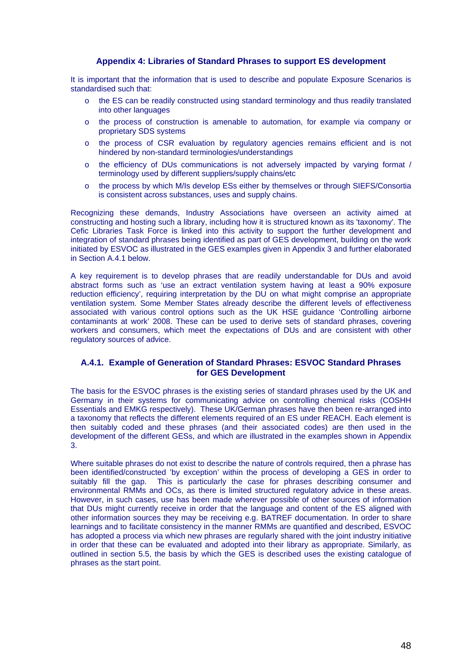### **Appendix 4: Libraries of Standard Phrases to support ES development**

<span id="page-47-0"></span>It is important that the information that is used to describe and populate Exposure Scenarios is standardised such that:

- o the ES can be readily constructed using standard terminology and thus readily translated into other languages
- o the process of construction is amenable to automation, for example via company or proprietary SDS systems
- o the process of CSR evaluation by regulatory agencies remains efficient and is not hindered by non-standard terminologies/understandings
- o the efficiency of DUs communications is not adversely impacted by varying format / terminology used by different suppliers/supply chains/etc
- o the process by which M/Is develop ESs either by themselves or through SIEFS/Consortia is consistent across substances, uses and supply chains.

Recognizing these demands, Industry Associations have overseen an activity aimed at constructing and hosting such a library, including how it is structured known as its 'taxonomy'. The Cefic Libraries Task Force is linked into this activity to support the further development and integration of standard phrases being identified as part of GES development, building on the work initiated by ESVOC as illustrated in the GES examples given in Appendix 3 and further elaborated in Section A.4.1 below.

A key requirement is to develop phrases that are readily understandable for DUs and avoid abstract forms such as 'use an extract ventilation system having at least a 90% exposure reduction efficiency', requiring interpretation by the DU on what might comprise an appropriate ventilation system. Some Member States already describe the different levels of effectiveness associated with various control options such as the UK HSE guidance 'Controlling airborne contaminants at work' 2008. These can be used to derive sets of standard phrases, covering workers and consumers, which meet the expectations of DUs and are consistent with other regulatory sources of advice.

### **A.4.1. Example of Generation of Standard Phrases: ESVOC Standard Phrases for GES Development**

The basis for the ESVOC phrases is the existing series of standard phrases used by the UK and Germany in their systems for communicating advice on controlling chemical risks (COSHH Essentials and EMKG respectively). These UK/German phrases have then been re-arranged into a taxonomy that reflects the different elements required of an ES under REACH. Each element is then suitably coded and these phrases (and their associated codes) are then used in the development of the different GESs, and which are illustrated in the examples shown in Appendix 3.

Where suitable phrases do not exist to describe the nature of controls required, then a phrase has been identified/constructed 'by exception' within the process of developing a GES in order to suitably fill the gap. This is particularly the case for phrases describing consumer and environmental RMMs and OCs, as there is limited structured regulatory advice in these areas. However, in such cases, use has been made wherever possible of other sources of information that DUs might currently receive in order that the language and content of the ES aligned with other information sources they may be receiving e.g. BATREF documentation. In order to share learnings and to facilitate consistency in the manner RMMs are quantified and described, ESVOC has adopted a process via which new phrases are regularly shared with the joint industry initiative in order that these can be evaluated and adopted into their library as appropriate. Similarly, as outlined in section 5.5, the basis by which the GES is described uses the existing catalogue of phrases as the start point.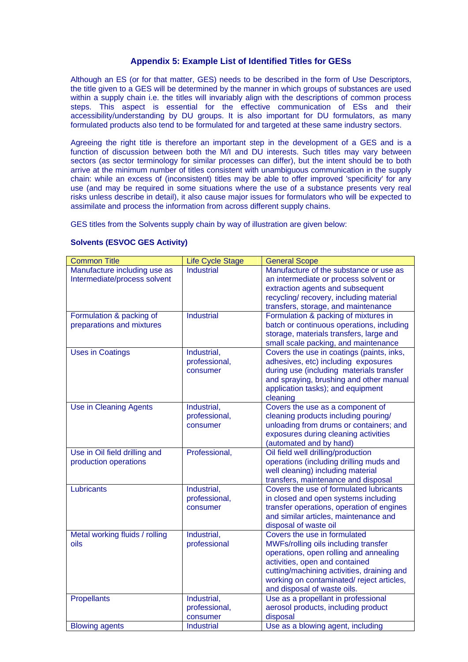### **Appendix 5: Example List of Identified Titles for GESs**

<span id="page-48-0"></span>Although an ES (or for that matter, GES) needs to be described in the form of Use Descriptors, the title given to a GES will be determined by the manner in which groups of substances are used within a supply chain i.e. the titles will invariably align with the descriptions of common process steps. This aspect is essential for the effective communication of ESs and their accessibility/understanding by DU groups. It is also important for DU formulators, as many formulated products also tend to be formulated for and targeted at these same industry sectors.

Agreeing the right title is therefore an important step in the development of a GES and is a function of discussion between both the M/I and DU interests. Such titles may vary between sectors (as sector terminology for similar processes can differ), but the intent should be to both arrive at the minimum number of titles consistent with unambiguous communication in the supply chain: while an excess of (inconsistent) titles may be able to offer improved 'specificity' for any use (and may be required in some situations where the use of a substance presents very real risks unless describe in detail), it also cause major issues for formulators who will be expected to assimilate and process the information from across different supply chains.

GES titles from the Solvents supply chain by way of illustration are given below:

| <b>Common Title</b>            | <b>Life Cycle Stage</b> | <b>General Scope</b>                       |
|--------------------------------|-------------------------|--------------------------------------------|
| Manufacture including use as   | <b>Industrial</b>       | Manufacture of the substance or use as     |
| Intermediate/process solvent   |                         | an intermediate or process solvent or      |
|                                |                         | extraction agents and subsequent           |
|                                |                         | recycling/recovery, including material     |
|                                |                         | transfers, storage, and maintenance        |
| Formulation & packing of       | <b>Industrial</b>       | Formulation & packing of mixtures in       |
| preparations and mixtures      |                         | batch or continuous operations, including  |
|                                |                         | storage, materials transfers, large and    |
|                                |                         | small scale packing, and maintenance       |
| <b>Uses in Coatings</b>        | Industrial,             | Covers the use in coatings (paints, inks,  |
|                                | professional,           | adhesives, etc) including exposures        |
|                                | consumer                | during use (including materials transfer   |
|                                |                         | and spraying, brushing and other manual    |
|                                |                         | application tasks); and equipment          |
|                                |                         | cleaning                                   |
| <b>Use in Cleaning Agents</b>  | Industrial,             | Covers the use as a component of           |
|                                | professional,           | cleaning products including pouring/       |
|                                | consumer                | unloading from drums or containers; and    |
|                                |                         | exposures during cleaning activities       |
|                                |                         | (automated and by hand)                    |
| Use in Oil field drilling and  | Professional,           | Oil field well drilling/production         |
| production operations          |                         | operations (including drilling muds and    |
|                                |                         | well cleaning) including material          |
|                                |                         | transfers, maintenance and disposal        |
| Lubricants                     | Industrial,             | Covers the use of formulated lubricants    |
|                                | professional,           | in closed and open systems including       |
|                                | consumer                | transfer operations, operation of engines  |
|                                |                         | and similar articles, maintenance and      |
|                                |                         | disposal of waste oil                      |
| Metal working fluids / rolling | Industrial,             | Covers the use in formulated               |
| oils                           | professional            | MWFs/rolling oils including transfer       |
|                                |                         | operations, open rolling and annealing     |
|                                |                         | activities, open and contained             |
|                                |                         | cutting/machining activities, draining and |
|                                |                         | working on contaminated/reject articles,   |
|                                |                         | and disposal of waste oils.                |
| <b>Propellants</b>             | Industrial,             | Use as a propellant in professional        |
|                                | professional,           | aerosol products, including product        |
|                                | consumer                | disposal                                   |
| <b>Blowing agents</b>          | <b>Industrial</b>       | Use as a blowing agent, including          |

#### **Solvents (ESVOC GES Activity)**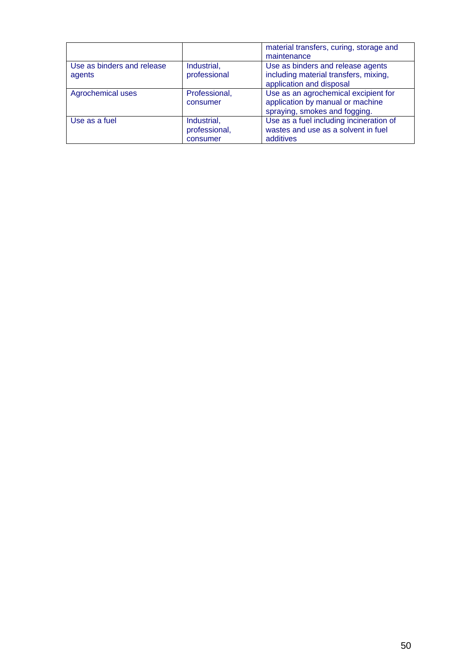|                                      |                                          | material transfers, curing, storage and<br>maintenance                                                    |
|--------------------------------------|------------------------------------------|-----------------------------------------------------------------------------------------------------------|
| Use as binders and release<br>agents | Industrial,<br>professional              | Use as binders and release agents<br>including material transfers, mixing,<br>application and disposal    |
| Agrochemical uses                    | Professional,<br>consumer                | Use as an agrochemical excipient for<br>application by manual or machine<br>spraying, smokes and fogging. |
| Use as a fuel                        | Industrial,<br>professional,<br>consumer | Use as a fuel including incineration of<br>wastes and use as a solvent in fuel<br>additives               |